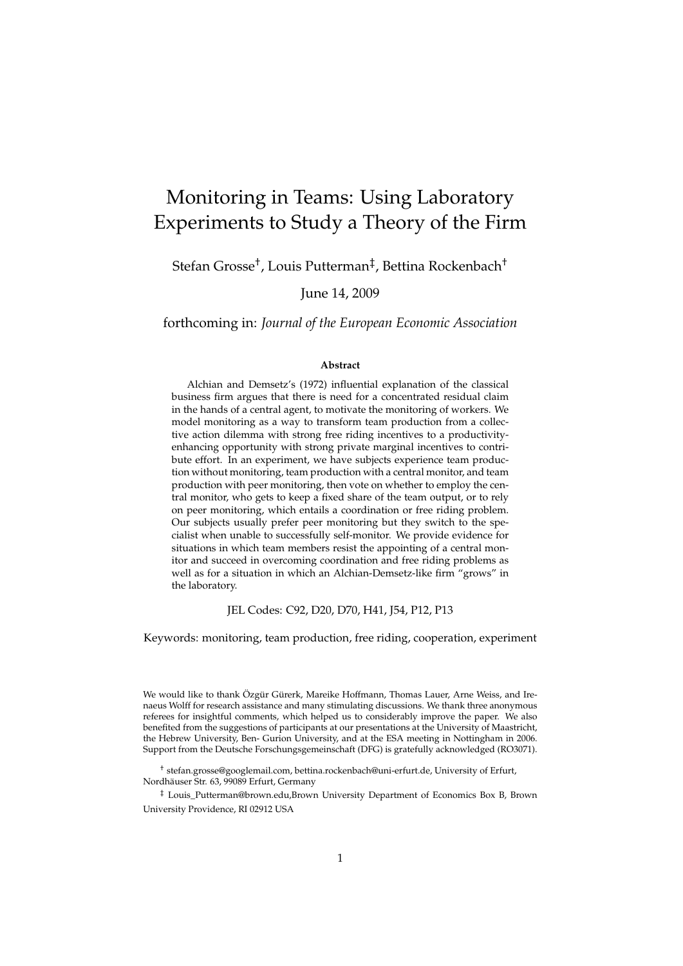# Monitoring in Teams: Using Laboratory Experiments to Study a Theory of the Firm

Stefan Grosse† , Louis Putterman‡ , Bettina Rockenbach†

June 14, 2009

forthcoming in: *Journal of the European Economic Association*

#### **Abstract**

Alchian and Demsetz's (1972) influential explanation of the classical business firm argues that there is need for a concentrated residual claim in the hands of a central agent, to motivate the monitoring of workers. We model monitoring as a way to transform team production from a collective action dilemma with strong free riding incentives to a productivityenhancing opportunity with strong private marginal incentives to contribute effort. In an experiment, we have subjects experience team production without monitoring, team production with a central monitor, and team production with peer monitoring, then vote on whether to employ the central monitor, who gets to keep a fixed share of the team output, or to rely on peer monitoring, which entails a coordination or free riding problem. Our subjects usually prefer peer monitoring but they switch to the specialist when unable to successfully self-monitor. We provide evidence for situations in which team members resist the appointing of a central monitor and succeed in overcoming coordination and free riding problems as well as for a situation in which an Alchian-Demsetz-like firm "grows" in the laboratory.

JEL Codes: C92, D20, D70, H41, J54, P12, P13

Keywords: monitoring, team production, free riding, cooperation, experiment

We would like to thank Özgür Gürerk, Mareike Hoffmann, Thomas Lauer, Arne Weiss, and Irenaeus Wolff for research assistance and many stimulating discussions. We thank three anonymous referees for insightful comments, which helped us to considerably improve the paper. We also benefited from the suggestions of participants at our presentations at the University of Maastricht, the Hebrew University, Ben- Gurion University, and at the ESA meeting in Nottingham in 2006. Support from the Deutsche Forschungsgemeinschaft (DFG) is gratefully acknowledged (RO3071).

<sup>†</sup> stefan.grosse@googlemail.com, bettina.rockenbach@uni-erfurt.de, University of Erfurt, Nordhäuser Str. 63, 99089 Erfurt, Germany

<sup>‡</sup> Louis\_Putterman@brown.edu,Brown University Department of Economics Box B, Brown University Providence, RI 02912 USA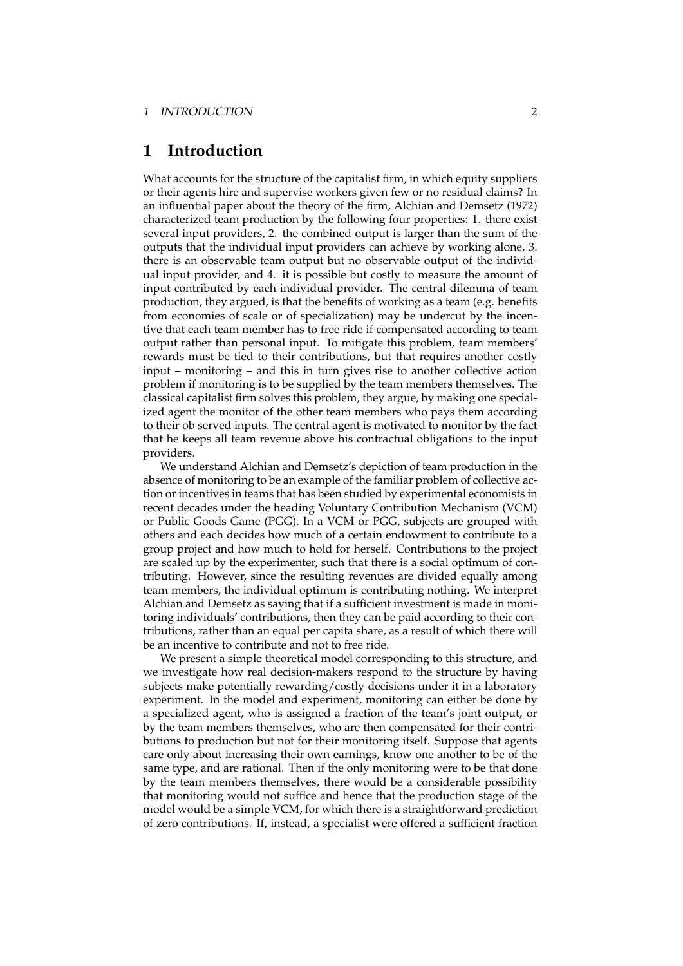## **1 Introduction**

What accounts for the structure of the capitalist firm, in which equity suppliers or their agents hire and supervise workers given few or no residual claims? In an influential paper about the theory of the firm, [Alchian and Demsetz](#page-25-0) [\(1972\)](#page-25-0) characterized team production by the following four properties: 1. there exist several input providers, 2. the combined output is larger than the sum of the outputs that the individual input providers can achieve by working alone, 3. there is an observable team output but no observable output of the individual input provider, and 4. it is possible but costly to measure the amount of input contributed by each individual provider. The central dilemma of team production, they argued, is that the benefits of working as a team (e.g. benefits from economies of scale or of specialization) may be undercut by the incentive that each team member has to free ride if compensated according to team output rather than personal input. To mitigate this problem, team members' rewards must be tied to their contributions, but that requires another costly input – monitoring – and this in turn gives rise to another collective action problem if monitoring is to be supplied by the team members themselves. The classical capitalist firm solves this problem, they argue, by making one specialized agent the monitor of the other team members who pays them according to their ob served inputs. The central agent is motivated to monitor by the fact that he keeps all team revenue above his contractual obligations to the input providers.

We understand Alchian and Demsetz's depiction of team production in the absence of monitoring to be an example of the familiar problem of collective action or incentives in teams that has been studied by experimental economists in recent decades under the heading Voluntary Contribution Mechanism (VCM) or Public Goods Game (PGG). In a VCM or PGG, subjects are grouped with others and each decides how much of a certain endowment to contribute to a group project and how much to hold for herself. Contributions to the project are scaled up by the experimenter, such that there is a social optimum of contributing. However, since the resulting revenues are divided equally among team members, the individual optimum is contributing nothing. We interpret Alchian and Demsetz as saying that if a sufficient investment is made in monitoring individuals' contributions, then they can be paid according to their contributions, rather than an equal per capita share, as a result of which there will be an incentive to contribute and not to free ride.

We present a simple theoretical model corresponding to this structure, and we investigate how real decision-makers respond to the structure by having subjects make potentially rewarding/costly decisions under it in a laboratory experiment. In the model and experiment, monitoring can either be done by a specialized agent, who is assigned a fraction of the team's joint output, or by the team members themselves, who are then compensated for their contributions to production but not for their monitoring itself. Suppose that agents care only about increasing their own earnings, know one another to be of the same type, and are rational. Then if the only monitoring were to be that done by the team members themselves, there would be a considerable possibility that monitoring would not suffice and hence that the production stage of the model would be a simple VCM, for which there is a straightforward prediction of zero contributions. If, instead, a specialist were offered a sufficient fraction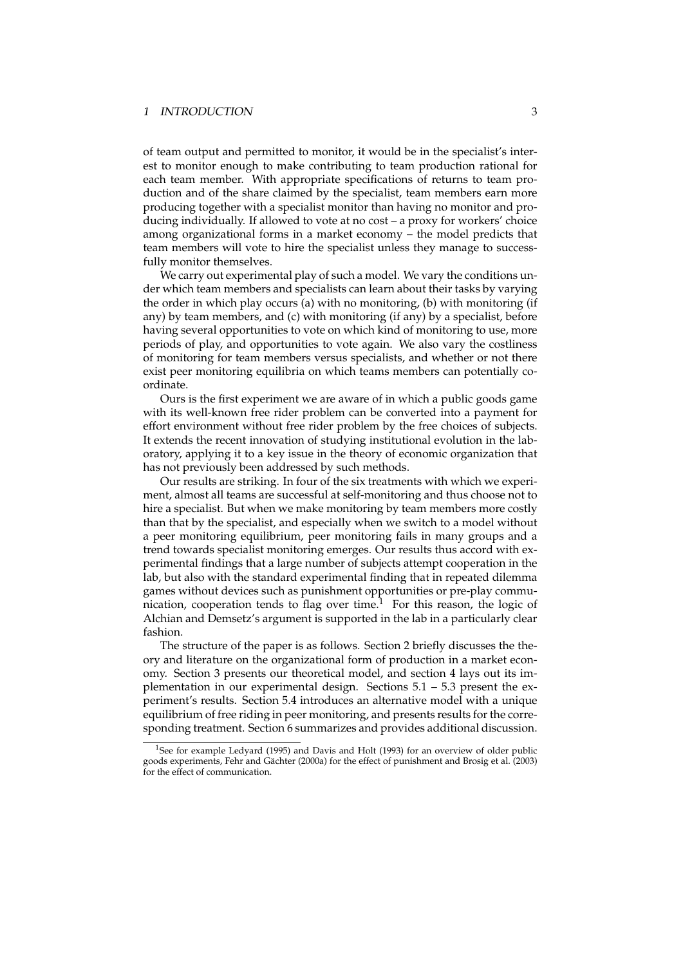of team output and permitted to monitor, it would be in the specialist's interest to monitor enough to make contributing to team production rational for each team member. With appropriate specifications of returns to team production and of the share claimed by the specialist, team members earn more producing together with a specialist monitor than having no monitor and producing individually. If allowed to vote at no cost – a proxy for workers' choice among organizational forms in a market economy – the model predicts that team members will vote to hire the specialist unless they manage to successfully monitor themselves.

We carry out experimental play of such a model. We vary the conditions under which team members and specialists can learn about their tasks by varying the order in which play occurs (a) with no monitoring, (b) with monitoring (if any) by team members, and (c) with monitoring (if any) by a specialist, before having several opportunities to vote on which kind of monitoring to use, more periods of play, and opportunities to vote again. We also vary the costliness of monitoring for team members versus specialists, and whether or not there exist peer monitoring equilibria on which teams members can potentially coordinate.

Ours is the first experiment we are aware of in which a public goods game with its well-known free rider problem can be converted into a payment for effort environment without free rider problem by the free choices of subjects. It extends the recent innovation of studying institutional evolution in the laboratory, applying it to a key issue in the theory of economic organization that has not previously been addressed by such methods.

Our results are striking. In four of the six treatments with which we experiment, almost all teams are successful at self-monitoring and thus choose not to hire a specialist. But when we make monitoring by team members more costly than that by the specialist, and especially when we switch to a model without a peer monitoring equilibrium, peer monitoring fails in many groups and a trend towards specialist monitoring emerges. Our results thus accord with experimental findings that a large number of subjects attempt cooperation in the lab, but also with the standard experimental finding that in repeated dilemma games without devices such as punishment opportunities or pre-play communication, cooperation tends to flag over time. $1$  For this reason, the logic of Alchian and Demsetz's argument is supported in the lab in a particularly clear fashion.

The structure of the paper is as follows. Section [2](#page-3-0) briefly discusses the theory and literature on the organizational form of production in a market economy. Section [3](#page-4-0) presents our theoretical model, and section [4](#page-10-0) lays out its implementation in our experimental design. Sections  $5.1 - 5.3$  $5.1 - 5.3$  $5.1 - 5.3$  present the experiment's results. Section [5.4](#page-19-0) introduces an alternative model with a unique equilibrium of free riding in peer monitoring, and presents results for the corresponding treatment. Section [6](#page-23-0) summarizes and provides additional discussion.

<span id="page-2-0"></span><sup>&</sup>lt;sup>1</sup>See for example [Ledyard](#page-26-0) [\(1995\)](#page-26-0) and [Davis and Holt](#page-25-1) [\(1993\)](#page-25-1) for an overview of older public goods experiments, [Fehr and Gächter](#page-25-2) [\(2000a\)](#page-25-2) for the effect of punishment and [Brosig et al.](#page-25-3) [\(2003\)](#page-25-3) for the effect of communication.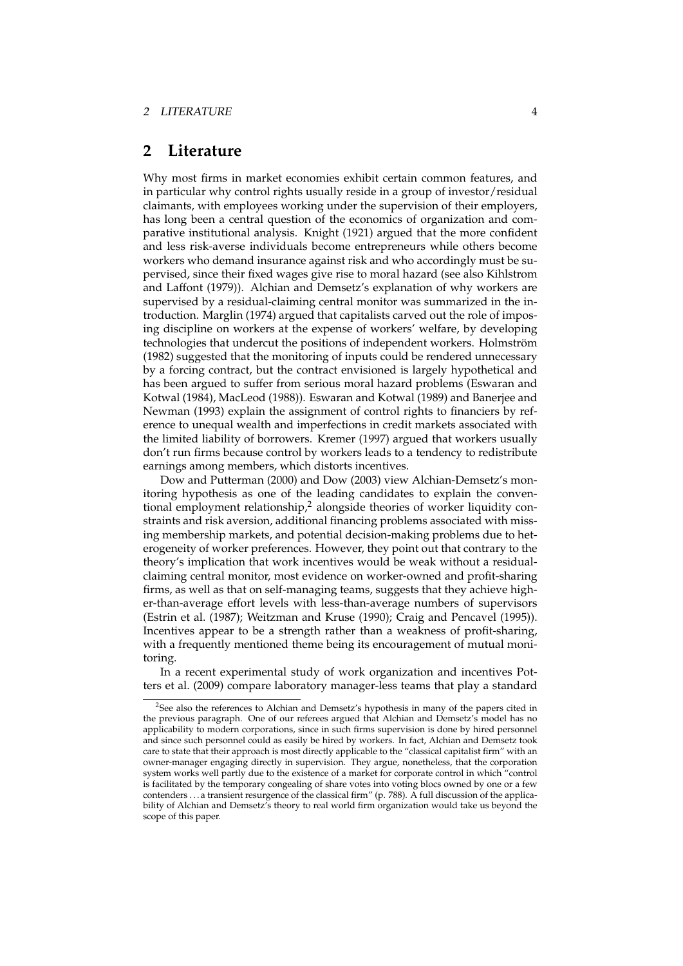## <span id="page-3-0"></span>**2 Literature**

Why most firms in market economies exhibit certain common features, and in particular why control rights usually reside in a group of investor/residual claimants, with employees working under the supervision of their employers, has long been a central question of the economics of organization and comparative institutional analysis. [Knight](#page-26-1) [\(1921\)](#page-26-1) argued that the more confident and less risk-averse individuals become entrepreneurs while others become workers who demand insurance against risk and who accordingly must be supervised, since their fixed wages give rise to moral hazard (see also [Kihlstrom](#page-26-2) [and Laffont](#page-26-2) [\(1979\)](#page-26-2)). Alchian and Demsetz's explanation of why workers are supervised by a residual-claiming central monitor was summarized in the introduction. [Marglin](#page-27-0) [\(1974\)](#page-27-0) argued that capitalists carved out the role of imposing discipline on workers at the expense of workers' welfare, by developing technologies that undercut the positions of independent workers. [Holmström](#page-26-3) [\(1982\)](#page-26-3) suggested that the monitoring of inputs could be rendered unnecessary by a forcing contract, but the contract envisioned is largely hypothetical and has been argued to suffer from serious moral hazard problems [\(Eswaran and](#page-25-4) [Kotwal](#page-25-4) [\(1984\)](#page-25-4), [MacLeod](#page-26-4) [\(1988\)](#page-26-4)). [Eswaran and Kotwal](#page-25-5) [\(1989\)](#page-25-5) and [Banerjee and](#page-25-6) [Newman](#page-25-6) [\(1993\)](#page-25-6) explain the assignment of control rights to financiers by reference to unequal wealth and imperfections in credit markets associated with the limited liability of borrowers. [Kremer](#page-26-5) [\(1997\)](#page-26-5) argued that workers usually don't run firms because control by workers leads to a tendency to redistribute earnings among members, which distorts incentives.

[Dow and Putterman](#page-25-7) [\(2000\)](#page-25-7) and [Dow](#page-25-8) [\(2003\)](#page-25-8) view Alchian-Demsetz's monitoring hypothesis as one of the leading candidates to explain the conven-tional employment relationship,<sup>[2](#page-3-1)</sup> alongside theories of worker liquidity constraints and risk aversion, additional financing problems associated with missing membership markets, and potential decision-making problems due to heterogeneity of worker preferences. However, they point out that contrary to the theory's implication that work incentives would be weak without a residualclaiming central monitor, most evidence on worker-owned and profit-sharing firms, as well as that on self-managing teams, suggests that they achieve higher-than-average effort levels with less-than-average numbers of supervisors [\(Estrin et al.](#page-25-9) [\(1987\)](#page-25-9); [Weitzman and Kruse](#page-27-1) [\(1990\)](#page-27-1); [Craig and Pencavel](#page-25-10) [\(1995\)](#page-25-10)). Incentives appear to be a strength rather than a weakness of profit-sharing, with a frequently mentioned theme being its encouragement of mutual monitoring.

In a recent experimental study of work organization and incentives [Pot](#page-27-2)[ters et al.](#page-27-2) [\(2009\)](#page-27-2) compare laboratory manager-less teams that play a standard

<span id="page-3-1"></span><sup>&</sup>lt;sup>2</sup>See also the references to Alchian and Demsetz's hypothesis in many of the papers cited in the previous paragraph. One of our referees argued that Alchian and Demsetz's model has no applicability to modern corporations, since in such firms supervision is done by hired personnel and since such personnel could as easily be hired by workers. In fact, Alchian and Demsetz took care to state that their approach is most directly applicable to the "classical capitalist firm" with an owner-manager engaging directly in supervision. They argue, nonetheless, that the corporation system works well partly due to the existence of a market for corporate control in which "control is facilitated by the temporary congealing of share votes into voting blocs owned by one or a few contenders . . . a transient resurgence of the classical firm" (p. 788). A full discussion of the applicability of Alchian and Demsetz's theory to real world firm organization would take us beyond the scope of this paper.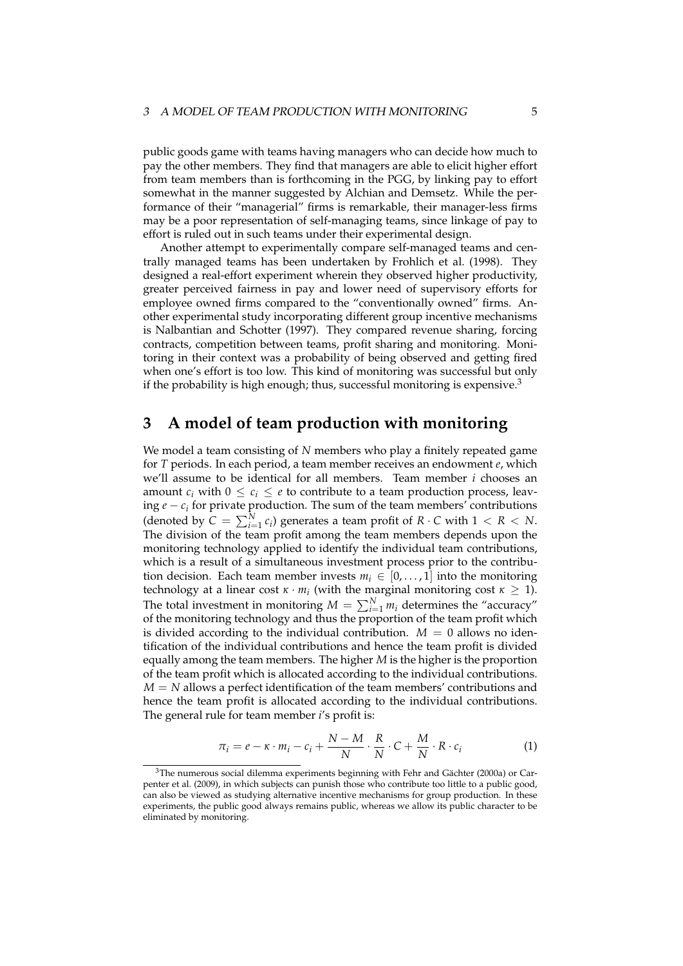public goods game with teams having managers who can decide how much to pay the other members. They find that managers are able to elicit higher effort from team members than is forthcoming in the PGG, by linking pay to effort somewhat in the manner suggested by Alchian and Demsetz. While the performance of their "managerial" firms is remarkable, their manager-less firms may be a poor representation of self-managing teams, since linkage of pay to effort is ruled out in such teams under their experimental design.

Another attempt to experimentally compare self-managed teams and centrally managed teams has been undertaken by [Frohlich et al.](#page-26-6) [\(1998\)](#page-26-6). They designed a real-effort experiment wherein they observed higher productivity, greater perceived fairness in pay and lower need of supervisory efforts for employee owned firms compared to the "conventionally owned" firms. Another experimental study incorporating different group incentive mechanisms is [Nalbantian and Schotter](#page-27-3) [\(1997\)](#page-27-3). They compared revenue sharing, forcing contracts, competition between teams, profit sharing and monitoring. Monitoring in their context was a probability of being observed and getting fired when one's effort is too low. This kind of monitoring was successful but only if the probability is high enough; thus, successful monitoring is expensive.<sup>[3](#page-4-1)</sup>

## <span id="page-4-0"></span>**3 A model of team production with monitoring**

We model a team consisting of *N* members who play a finitely repeated game for *T* periods. In each period, a team member receives an endowment *e*, which we'll assume to be identical for all members. Team member *i* chooses an amount  $c_i$  with  $0 \leq c_i \leq e$  to contribute to a team production process, leaving *e* − *c<sup>i</sup>* for private production. The sum of the team members' contributions (denoted by  $C = \sum_{i=1}^{N} c_i$ ) generates a team profit of  $R \cdot C$  with  $1 \lt R \lt N$ . The division of the team profit among the team members depends upon the monitoring technology applied to identify the individual team contributions, which is a result of a simultaneous investment process prior to the contribution decision. Each team member invests  $m_i \in [0, \ldots, 1]$  into the monitoring technology at a linear cost  $\kappa \cdot m_i$  (with the marginal monitoring cost  $\kappa \geq 1$ ). The total investment in monitoring  $M = \sum_{i=1}^{N} m_i$  determines the "accuracy" of the monitoring technology and thus the proportion of the team profit which is divided according to the individual contribution.  $M = 0$  allows no identification of the individual contributions and hence the team profit is divided equally among the team members. The higher *M* is the higher is the proportion of the team profit which is allocated according to the individual contributions. *M* = *N* allows a perfect identification of the team members' contributions and hence the team profit is allocated according to the individual contributions. The general rule for team member *i*'s profit is:

<span id="page-4-2"></span>
$$
\pi_i = e - \kappa \cdot m_i - c_i + \frac{N - M}{N} \cdot \frac{R}{N} \cdot C + \frac{M}{N} \cdot R \cdot c_i \tag{1}
$$

<span id="page-4-1"></span><sup>&</sup>lt;sup>3</sup>The numerous social dilemma experiments beginning with [Fehr and Gächter](#page-25-2) [\(2000a\)](#page-25-2) or [Car](#page-25-11)[penter et al.](#page-25-11) [\(2009\)](#page-25-11), in which subjects can punish those who contribute too little to a public good, can also be viewed as studying alternative incentive mechanisms for group production. In these experiments, the public good always remains public, whereas we allow its public character to be eliminated by monitoring.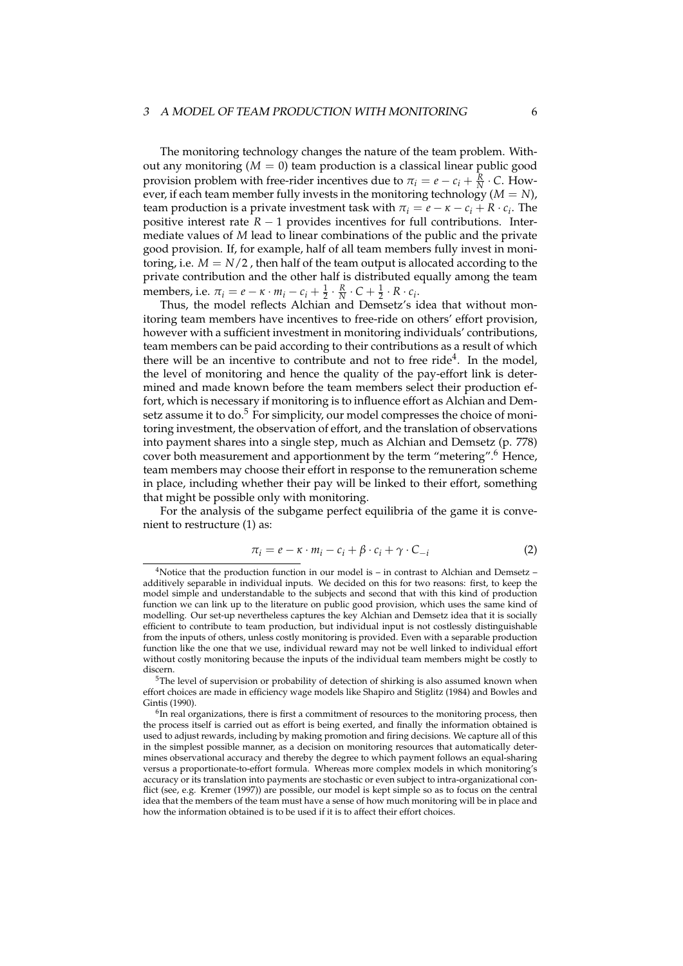#### 3 A MODEL OF TEAM PRODUCTION WITH MONITORING 6

The monitoring technology changes the nature of the team problem. Without any monitoring  $(M = 0)$  team production is a classical linear public good provision problem with free-rider incentives due to  $\pi_i = e - c_i + \frac{R}{N} \cdot C$ . However, if each team member fully invests in the monitoring technology  $(M = N)$ , team production is a private investment task with  $\pi_i = e - \kappa - c_i + R \cdot c_i$ . The positive interest rate *R* − 1 provides incentives for full contributions. Intermediate values of *M* lead to linear combinations of the public and the private good provision. If, for example, half of all team members fully invest in monitoring, i.e.  $M = N/2$ , then half of the team output is allocated according to the private contribution and the other half is distributed equally among the team members, i.e.  $\pi_i = e - \kappa \cdot m_i - c_i + \frac{1}{2} \cdot \frac{R}{N} \cdot C + \frac{1}{2} \cdot R \cdot c_i$ .

Thus, the model reflects Alchian and Demsetz's idea that without monitoring team members have incentives to free-ride on others' effort provision, however with a sufficient investment in monitoring individuals' contributions, team members can be paid according to their contributions as a result of which there will be an incentive to contribute and not to free ride<sup>[4](#page-5-0)</sup>. In the model, the level of monitoring and hence the quality of the pay-effort link is determined and made known before the team members select their production effort, which is necessary if monitoring is to influence effort as Alchian and Dem-setz assume it to do.<sup>[5](#page-5-1)</sup> For simplicity, our model compresses the choice of monitoring investment, the observation of effort, and the translation of observations into payment shares into a single step, much as Alchian and Demsetz (p. 778) cover both measurement and apportionment by the term "metering".<sup>[6](#page-5-2)</sup> Hence, team members may choose their effort in response to the remuneration scheme in place, including whether their pay will be linked to their effort, something that might be possible only with monitoring.

For the analysis of the subgame perfect equilibria of the game it is convenient to restructure [\(1\)](#page-4-2) as:

$$
\pi_i = e - \kappa \cdot m_i - c_i + \beta \cdot c_i + \gamma \cdot C_{-i} \tag{2}
$$

<span id="page-5-0"></span><sup>4</sup>Notice that the production function in our model is – in contrast to Alchian and Demsetz – additively separable in individual inputs. We decided on this for two reasons: first, to keep the model simple and understandable to the subjects and second that with this kind of production function we can link up to the literature on public good provision, which uses the same kind of modelling. Our set-up nevertheless captures the key Alchian and Demsetz idea that it is socially efficient to contribute to team production, but individual input is not costlessly distinguishable from the inputs of others, unless costly monitoring is provided. Even with a separable production function like the one that we use, individual reward may not be well linked to individual effort without costly monitoring because the inputs of the individual team members might be costly to discern.

<span id="page-5-1"></span><sup>5</sup>The level of supervision or probability of detection of shirking is also assumed known when effort choices are made in efficiency wage models like [Shapiro and Stiglitz](#page-27-4) [\(1984\)](#page-27-4) and [Bowles and](#page-25-12) [Gintis](#page-25-12) [\(1990\)](#page-25-12).

<span id="page-5-2"></span> ${}^{6}$ In real organizations, there is first a commitment of resources to the monitoring process, then the process itself is carried out as effort is being exerted, and finally the information obtained is used to adjust rewards, including by making promotion and firing decisions. We capture all of this in the simplest possible manner, as a decision on monitoring resources that automatically determines observational accuracy and thereby the degree to which payment follows an equal-sharing versus a proportionate-to-effort formula. Whereas more complex models in which monitoring's accuracy or its translation into payments are stochastic or even subject to intra-organizational conflict (see, e.g. [Kremer](#page-26-5) [\(1997\)](#page-26-5)) are possible, our model is kept simple so as to focus on the central idea that the members of the team must have a sense of how much monitoring will be in place and how the information obtained is to be used if it is to affect their effort choices.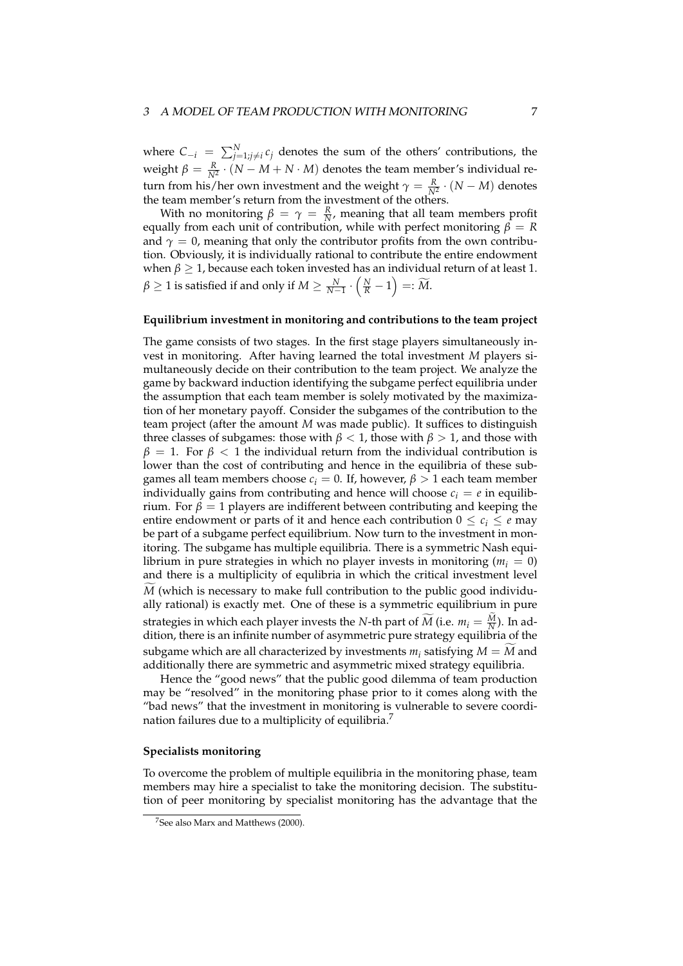where  $C_{-i}$  =  $\sum_{j=1; j\neq i}^{N} c_j$  denotes the sum of the others' contributions, the weight  $\beta = \frac{R}{N^2} \cdot (N - M + N \cdot M)$  denotes the team member's individual return from his/her own investment and the weight  $\gamma = \frac{R}{N^2} \cdot (N - M)$  denotes the team member's return from the investment of the others.

With no monitoring  $\beta = \gamma = \frac{R}{N}$ , meaning that all team members profit equally from each unit of contribution, while with perfect monitoring  $\beta = R$ and  $\gamma = 0$ , meaning that only the contributor profits from the own contribution. Obviously, it is individually rational to contribute the entire endowment when  $\beta \geq 1$ , because each token invested has an individual return of at least 1.  $\beta \geq 1$  is satisfied if and only if  $M \geq \frac{N}{N-1} \cdot \left( \frac{N}{R} - 1 \right) =: \widetilde{M}.$ 

## **Equilibrium investment in monitoring and contributions to the team project**

The game consists of two stages. In the first stage players simultaneously invest in monitoring. After having learned the total investment *M* players simultaneously decide on their contribution to the team project. We analyze the game by backward induction identifying the subgame perfect equilibria under the assumption that each team member is solely motivated by the maximization of her monetary payoff. Consider the subgames of the contribution to the team project (after the amount *M* was made public). It suffices to distinguish three classes of subgames: those with  $\beta$  < 1, those with  $\beta$  > 1, and those with  $β = 1$ . For  $β < 1$  the individual return from the individual contribution is lower than the cost of contributing and hence in the equilibria of these subgames all team members choose  $c_i = 0$ . If, however,  $\beta > 1$  each team member individually gains from contributing and hence will choose  $c_i = e$  in equilibrium. For  $\beta = 1$  players are indifferent between contributing and keeping the entire endowment or parts of it and hence each contribution  $0 \leq c_i \leq e$  may be part of a subgame perfect equilibrium. Now turn to the investment in monitoring. The subgame has multiple equilibria. There is a symmetric Nash equilibrium in pure strategies in which no player invests in monitoring  $(m_i = 0)$ and there is a multiplicity of equlibria in which the critical investment level  $M$  (which is necessary to make full contribution to the public good individually rational) is exactly met. One of these is a symmetric equilibrium in pure strategies in which each player invests the *N*-th part of  $\widetilde{M}$  (i.e.  $m_i = \frac{M}{N}$ ). In addition, there is an infinite number of asymmetric pure strategy equilibria of the subgame which are all characterized by investments  $m_i$  satisfying  $M = M$  and additionally there are symmetric and asymmetric mixed strategy equilibria.

Hence the "good news" that the public good dilemma of team production may be "resolved" in the monitoring phase prior to it comes along with the "bad news" that the investment in monitoring is vulnerable to severe coordi-nation failures due to a multiplicity of equilibria.<sup>[7](#page-6-0)</sup>

#### **Specialists monitoring**

To overcome the problem of multiple equilibria in the monitoring phase, team members may hire a specialist to take the monitoring decision. The substitution of peer monitoring by specialist monitoring has the advantage that the

<span id="page-6-0"></span><sup>&</sup>lt;sup>7</sup>See also [Marx and Matthews](#page-27-5) [\(2000\)](#page-27-5).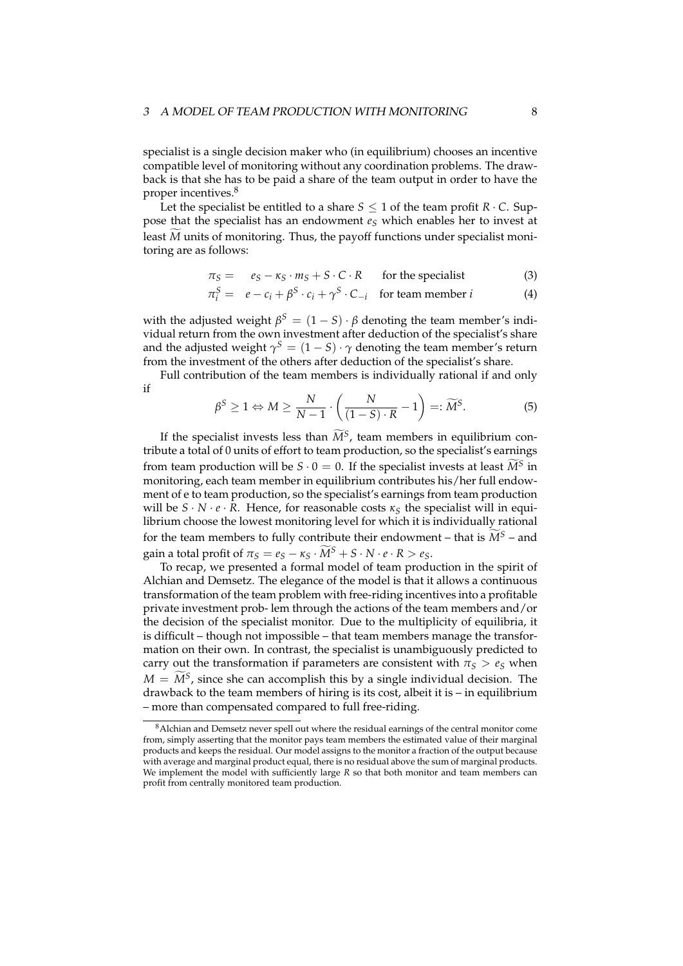specialist is a single decision maker who (in equilibrium) chooses an incentive compatible level of monitoring without any coordination problems. The drawback is that she has to be paid a share of the team output in order to have the proper incentives.[8](#page-7-0)

Let the specialist be entitled to a share  $S \leq 1$  of the team profit  $R \cdot C$ . Suppose that the specialist has an endowment  $e<sub>S</sub>$  which enables her to invest at least *M* units of monitoring. Thus, the payoff functions under specialist monitoring are as follows:

$$
\pi_S = e_S - \kappa_S \cdot m_S + S \cdot C \cdot R \quad \text{for the specialist} \tag{3}
$$

$$
\pi_i^S = e - c_i + \beta^S \cdot c_i + \gamma^S \cdot C_{-i} \quad \text{for team member } i \tag{4}
$$

with the adjusted weight  $β^S = (1 - S) \cdot β$  denoting the team member's individual return from the own investment after deduction of the specialist's share and the adjusted weight  $\gamma^S = (1-S) \cdot \gamma$  denoting the team member's return from the investment of the others after deduction of the specialist's share.

Full contribution of the team members is individually rational if and only if

$$
\beta^{S} \ge 1 \Leftrightarrow M \ge \frac{N}{N-1} \cdot \left(\frac{N}{(1-S) \cdot R} - 1\right) =: \widetilde{M}^{S}.
$$
 (5)

If the specialist invests less than  $\overline{M}^S$ , team members in equilibrium contribute a total of 0 units of effort to team production, so the specialist's earnings from team production will be  $S \cdot 0 = 0$ . If the specialist invests at least  $\overline{M}^S$  in monitoring, each team member in equilibrium contributes his/her full endowment of e to team production, so the specialist's earnings from team production will be  $S \cdot N \cdot e \cdot R$ . Hence, for reasonable costs  $\kappa_S$  the specialist will in equilibrium choose the lowest monitoring level for which it is individually rational for the team members to fully contribute their endowment – that is  $\widetilde{M}^S$  – and gain a total profit of  $\pi_S = e_S - \kappa_S \cdot \widetilde{M}^S + S \cdot N \cdot e \cdot R > e_S$ .

To recap, we presented a formal model of team production in the spirit of Alchian and Demsetz. The elegance of the model is that it allows a continuous transformation of the team problem with free-riding incentives into a profitable private investment prob- lem through the actions of the team members and/or the decision of the specialist monitor. Due to the multiplicity of equilibria, it is difficult – though not impossible – that team members manage the transformation on their own. In contrast, the specialist is unambiguously predicted to carry out the transformation if parameters are consistent with  $\pi_S > e_S$  when  $M = \overline{M}^S$ , since she can accomplish this by a single individual decision. The drawback to the team members of hiring is its cost, albeit it is – in equilibrium – more than compensated compared to full free-riding.

<span id="page-7-0"></span><sup>8</sup>Alchian and Demsetz never spell out where the residual earnings of the central monitor come from, simply asserting that the monitor pays team members the estimated value of their marginal products and keeps the residual. Our model assigns to the monitor a fraction of the output because with average and marginal product equal, there is no residual above the sum of marginal products. We implement the model with sufficiently large *R* so that both monitor and team members can profit from centrally monitored team production.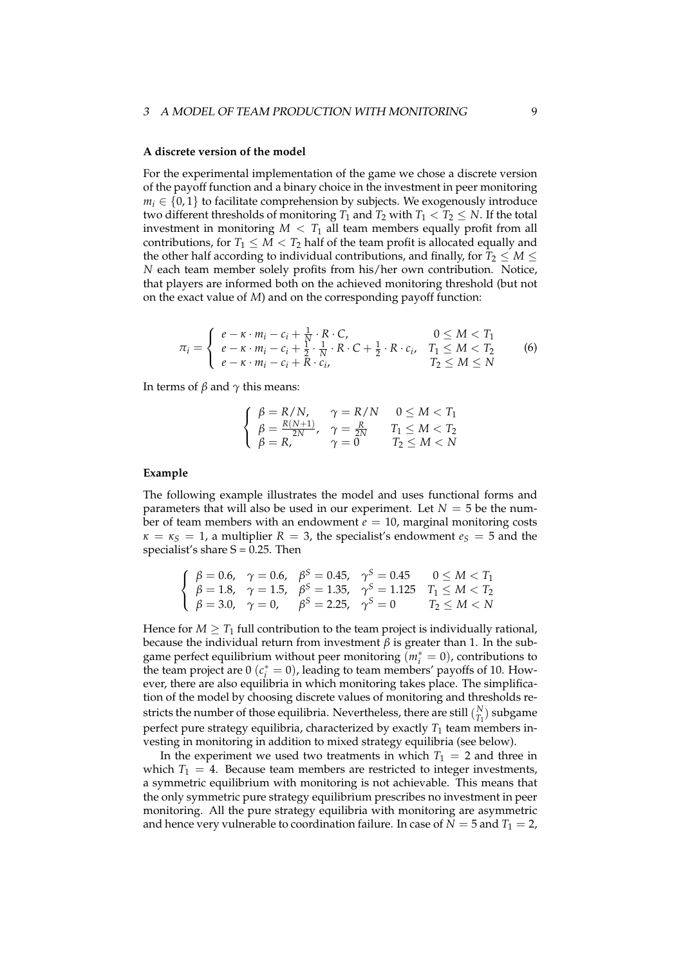#### 3 A MODEL OF TEAM PRODUCTION WITH MONITORING 9

#### **A discrete version of the model**

For the experimental implementation of the game we chose a discrete version of the payoff function and a binary choice in the investment in peer monitoring  $m_i \in \{0,1\}$  to facilitate comprehension by subjects. We exogenously introduce two different thresholds of monitoring  $T_1$  and  $T_2$  with  $T_1 < T_2 \le N$ . If the total investment in monitoring  $M < T_1$  all team members equally profit from all contributions, for  $T_1 \leq M < T_2$  half of the team profit is allocated equally and the other half according to individual contributions, and finally, for  $T_2 \leq M \leq T_1$ *N* each team member solely profits from his/her own contribution. Notice, that players are informed both on the achieved monitoring threshold (but not on the exact value of *M*) and on the corresponding payoff function:

$$
\pi_i = \begin{cases}\n e - \kappa \cdot m_i - c_i + \frac{1}{N} \cdot R \cdot C, & 0 \le M < T_1 \\
 e - \kappa \cdot m_i - c_i + \frac{1}{2} \cdot \frac{1}{N} \cdot R \cdot C + \frac{1}{2} \cdot R \cdot c_i, & T_1 \le M < T_2 \\
 e - \kappa \cdot m_i - c_i + R \cdot c_i, & T_2 \le M \le N\n\end{cases}\n\tag{6}
$$

In terms of *β* and *γ* this means:

$$
\begin{cases}\n\beta = R/N, & \gamma = R/N & 0 \le M < T_1 \\
\beta = \frac{R(N+1)}{2N}, & \gamma = \frac{R}{2N} & T_1 \le M < T_2 \\
\beta = R, & \gamma = 0 & T_2 \le M < N\n\end{cases}
$$

### **Example**

The following example illustrates the model and uses functional forms and parameters that will also be used in our experiment. Let  $N = 5$  be the number of team members with an endowment  $e = 10$ , marginal monitoring costs  $\kappa = \kappa_S = 1$ , a multiplier  $R = 3$ , the specialist's endowment  $e_S = 5$  and the specialist's share  $S = 0.25$ . Then

$$
\begin{cases}\n\beta = 0.6, & \gamma = 0.6, & \beta^S = 0.45, & \gamma^S = 0.45 & 0 \le M < T_1 \\
\beta = 1.8, & \gamma = 1.5, & \beta^S = 1.35, & \gamma^S = 1.125 & T_1 \le M < T_2 \\
\beta = 3.0, & \gamma = 0, & \beta^S = 2.25, & \gamma^S = 0 & T_2 \le M < N\n\end{cases}
$$

Hence for  $M \geq T_1$  full contribution to the team project is individually rational, because the individual return from investment *β* is greater than 1. In the subgame perfect equilibrium without peer monitoring  $(m_i^* = 0)$ , contributions to the team project are  $0$  ( $c_i^* = 0$ ), leading to team members' payoffs of 10. However, there are also equilibria in which monitoring takes place. The simplification of the model by choosing discrete values of monitoring and thresholds restricts the number of those equilibria. Nevertheless, there are still  $\binom{N}{T_1}$  subgame perfect pure strategy equilibria, characterized by exactly  $T_1$  team members investing in monitoring in addition to mixed strategy equilibria (see below).

In the experiment we used two treatments in which  $T_1 = 2$  and three in which  $T_1 = 4$ . Because team members are restricted to integer investments, a symmetric equilibrium with monitoring is not achievable. This means that the only symmetric pure strategy equilibrium prescribes no investment in peer monitoring. All the pure strategy equilibria with monitoring are asymmetric and hence very vulnerable to coordination failure. In case of  $N = 5$  and  $T_1 = 2$ ,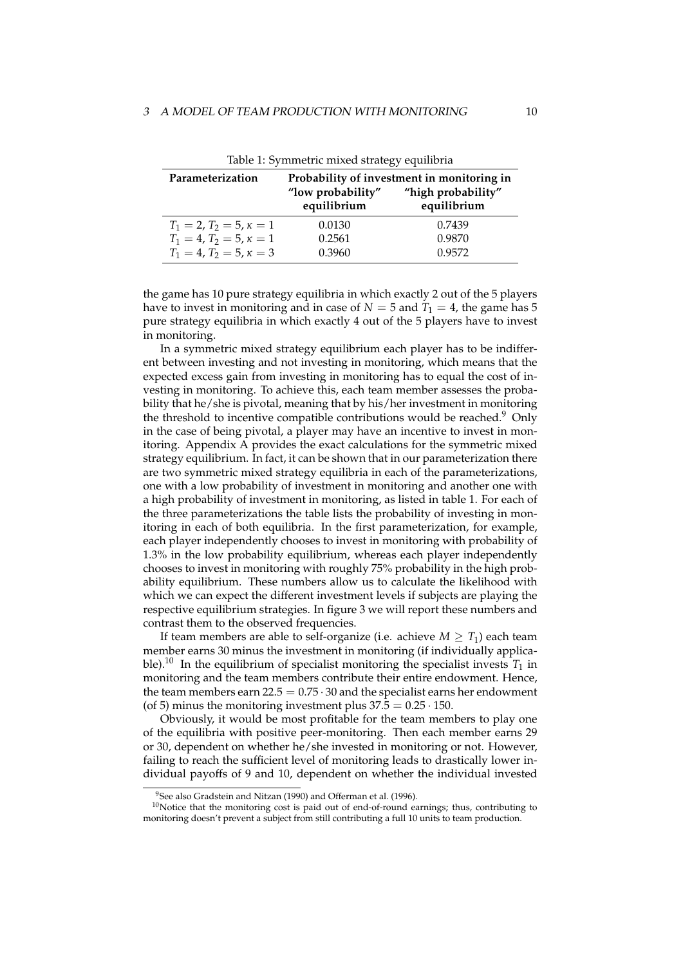| Parameterization               | Probability of investment in monitoring in<br>"low probability"<br>"high probability"<br>equilibrium<br>equilibrium |        |  |  |  |
|--------------------------------|---------------------------------------------------------------------------------------------------------------------|--------|--|--|--|
| $T_1 = 2, T_2 = 5, \kappa = 1$ | 0.0130                                                                                                              | 0.7439 |  |  |  |
| $T_1 = 4, T_2 = 5, \kappa = 1$ | 0.2561                                                                                                              | 0.9870 |  |  |  |
| $T_1 = 4, T_2 = 5, \kappa = 3$ | 0.3960                                                                                                              | 0.9572 |  |  |  |

<span id="page-9-1"></span>Table 1: Symmetric mixed strategy equilibria

the game has 10 pure strategy equilibria in which exactly 2 out of the 5 players have to invest in monitoring and in case of  $N = 5$  and  $T_1 = 4$ , the game has 5 pure strategy equilibria in which exactly 4 out of the 5 players have to invest in monitoring.

In a symmetric mixed strategy equilibrium each player has to be indifferent between investing and not investing in monitoring, which means that the expected excess gain from investing in monitoring has to equal the cost of investing in monitoring. To achieve this, each team member assesses the probability that he/she is pivotal, meaning that by his/her investment in monitoring the threshold to incentive compatible contributions would be reached.<sup>[9](#page-9-0)</sup> Only in the case of being pivotal, a player may have an incentive to invest in monitoring. Appendix [A](#page-28-0) provides the exact calculations for the symmetric mixed strategy equilibrium. In fact, it can be shown that in our parameterization there are two symmetric mixed strategy equilibria in each of the parameterizations, one with a low probability of investment in monitoring and another one with a high probability of investment in monitoring, as listed in table [1.](#page-9-1) For each of the three parameterizations the table lists the probability of investing in monitoring in each of both equilibria. In the first parameterization, for example, each player independently chooses to invest in monitoring with probability of 1.3% in the low probability equilibrium, whereas each player independently chooses to invest in monitoring with roughly 75% probability in the high probability equilibrium. These numbers allow us to calculate the likelihood with which we can expect the different investment levels if subjects are playing the respective equilibrium strategies. In figure [3](#page-15-0) we will report these numbers and contrast them to the observed frequencies.

If team members are able to self-organize (i.e. achieve  $M \geq T_1$ ) each team member earns 30 minus the investment in monitoring (if individually applica-ble).<sup>[10](#page-9-2)</sup> In the equilibrium of specialist monitoring the specialist invests  $T_1$  in monitoring and the team members contribute their entire endowment. Hence, the team members earn  $22.5 = 0.75 \cdot 30$  and the specialist earns her endowment (of 5) minus the monitoring investment plus  $37.5 = 0.25 \cdot 150$ .

Obviously, it would be most profitable for the team members to play one of the equilibria with positive peer-monitoring. Then each member earns 29 or 30, dependent on whether he/she invested in monitoring or not. However, failing to reach the sufficient level of monitoring leads to drastically lower individual payoffs of 9 and 10, dependent on whether the individual invested

<span id="page-9-2"></span><span id="page-9-0"></span><sup>&</sup>lt;sup>9</sup>See also [Gradstein and Nitzan](#page-26-7) [\(1990\)](#page-26-7) and [Offerman et al.](#page-27-6) [\(1996\)](#page-27-6).

 $10$ Notice that the monitoring cost is paid out of end-of-round earnings; thus, contributing to monitoring doesn't prevent a subject from still contributing a full 10 units to team production.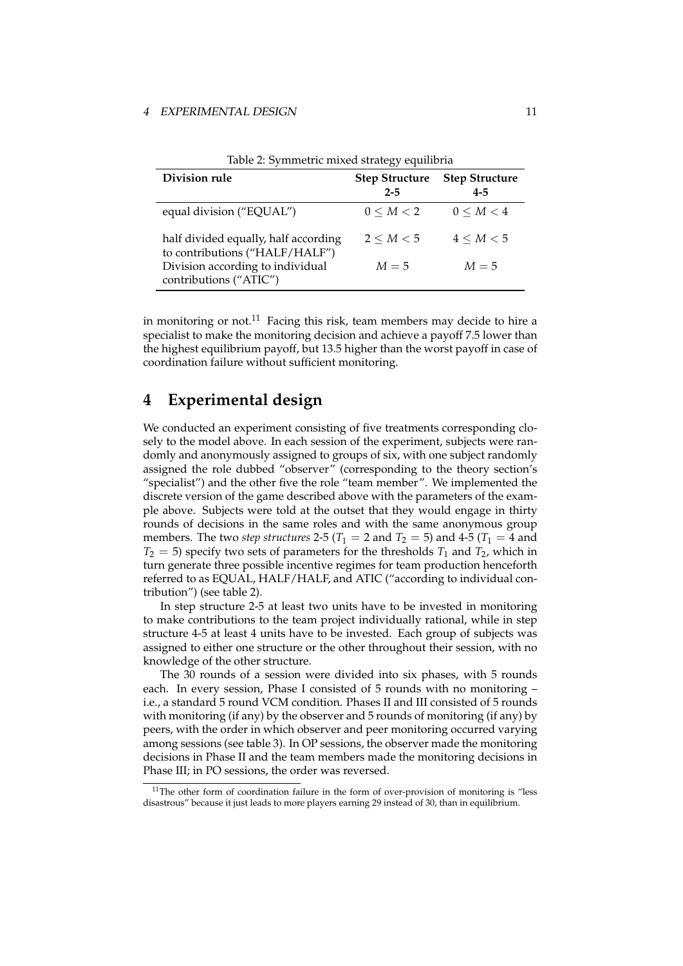| Table 2. Dynametric maxed strategy equilibria                          |                                  |                              |
|------------------------------------------------------------------------|----------------------------------|------------------------------|
| Division rule                                                          | <b>Step Structure</b><br>$2 - 5$ | <b>Step Structure</b><br>4-5 |
| equal division ("EQUAL")                                               | $0 \leq M \leq 2$                | $0 \le M \le 4$              |
| half divided equally, half according<br>to contributions ("HALF/HALF") | $2 \le M \le 5$                  | $4 \le M \le 5$              |
| Division according to individual<br>contributions ("ATIC")             | $M=5$                            | $M=5$                        |

<span id="page-10-2"></span>Table 2: Symmetric mixed strategy equilibria

in monitoring or not.<sup>[11](#page-10-1)</sup> Facing this risk, team members may decide to hire a specialist to make the monitoring decision and achieve a payoff 7.5 lower than the highest equilibrium payoff, but 13.5 higher than the worst payoff in case of coordination failure without sufficient monitoring.

## <span id="page-10-0"></span>**4 Experimental design**

We conducted an experiment consisting of five treatments corresponding closely to the model above. In each session of the experiment, subjects were randomly and anonymously assigned to groups of six, with one subject randomly assigned the role dubbed "observer" (corresponding to the theory section's "specialist") and the other five the role "team member". We implemented the discrete version of the game described above with the parameters of the example above. Subjects were told at the outset that they would engage in thirty rounds of decisions in the same roles and with the same anonymous group members. The two *step structures* 2-5 ( $T_1 = 2$  and  $T_2 = 5$ ) and 4-5 ( $T_1 = 4$  and  $T_2 = 5$ ) specify two sets of parameters for the thresholds  $T_1$  and  $T_2$ , which in turn generate three possible incentive regimes for team production henceforth referred to as EQUAL, HALF/HALF, and ATIC ("according to individual contribution") (see table [2\)](#page-10-2).

In step structure 2-5 at least two units have to be invested in monitoring to make contributions to the team project individually rational, while in step structure 4-5 at least 4 units have to be invested. Each group of subjects was assigned to either one structure or the other throughout their session, with no knowledge of the other structure.

The 30 rounds of a session were divided into six phases, with 5 rounds each. In every session, Phase I consisted of 5 rounds with no monitoring – i.e., a standard 5 round VCM condition. Phases II and III consisted of 5 rounds with monitoring (if any) by the observer and 5 rounds of monitoring (if any) by peers, with the order in which observer and peer monitoring occurred varying among sessions (see table [3\)](#page-12-0). In OP sessions, the observer made the monitoring decisions in Phase II and the team members made the monitoring decisions in Phase III; in PO sessions, the order was reversed.

<span id="page-10-1"></span> $11$ The other form of coordination failure in the form of over-provision of monitoring is "less disastrous" because it just leads to more players earning 29 instead of 30, than in equilibrium.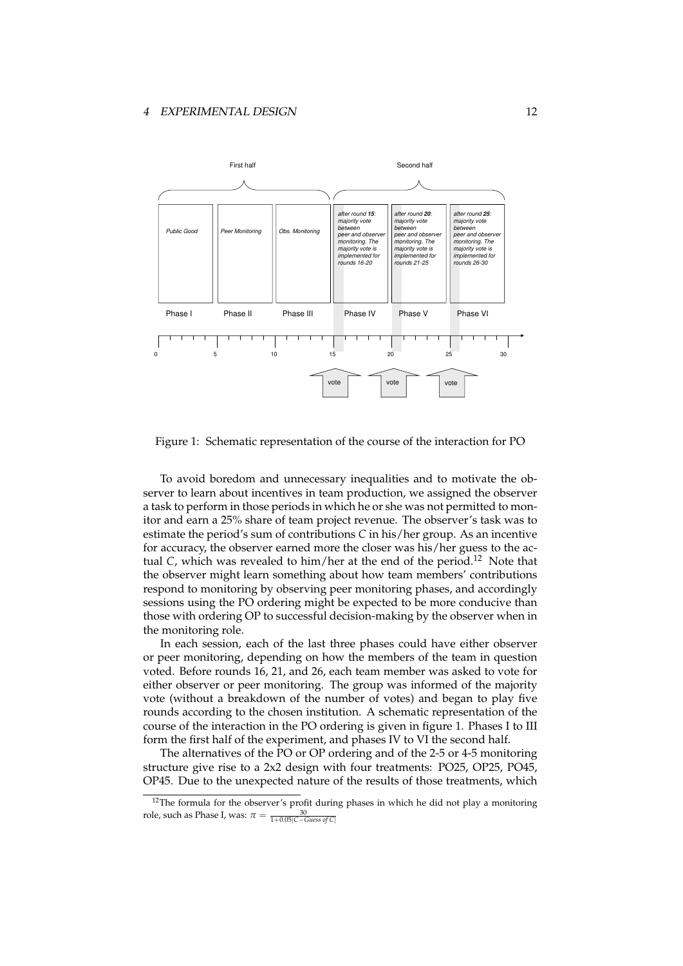

<span id="page-11-1"></span>Figure 1: Schematic representation of the course of the interaction for PO

To avoid boredom and unnecessary inequalities and to motivate the observer to learn about incentives in team production, we assigned the observer a task to perform in those periods in which he or she was not permitted to monitor and earn a 25% share of team project revenue. The observer's task was to estimate the period's sum of contributions *C* in his/her group. As an incentive for accuracy, the observer earned more the closer was his/her guess to the actual *C*, which was revealed to him/her at the end of the period.<sup>[12](#page-11-0)</sup> Note that the observer might learn something about how team members' contributions respond to monitoring by observing peer monitoring phases, and accordingly sessions using the PO ordering might be expected to be more conducive than those with ordering OP to successful decision-making by the observer when in the monitoring role.

In each session, each of the last three phases could have either observer or peer monitoring, depending on how the members of the team in question voted. Before rounds 16, 21, and 26, each team member was asked to vote for either observer or peer monitoring. The group was informed of the majority vote (without a breakdown of the number of votes) and began to play five rounds according to the chosen institution. A schematic representation of the course of the interaction in the PO ordering is given in figure [1.](#page-11-1) Phases I to III form the first half of the experiment, and phases IV to VI the second half.

The alternatives of the PO or OP ordering and of the 2-5 or 4-5 monitoring structure give rise to a 2x2 design with four treatments: PO25, OP25, PO45, OP45. Due to the unexpected nature of the results of those treatments, which

<span id="page-11-0"></span><sup>&</sup>lt;sup>12</sup>The formula for the observer's profit during phases in which he did not play a monitoring role, such as Phase I, was:  $\pi = \frac{30}{1+0.05|C-Guess\, of\, C|}$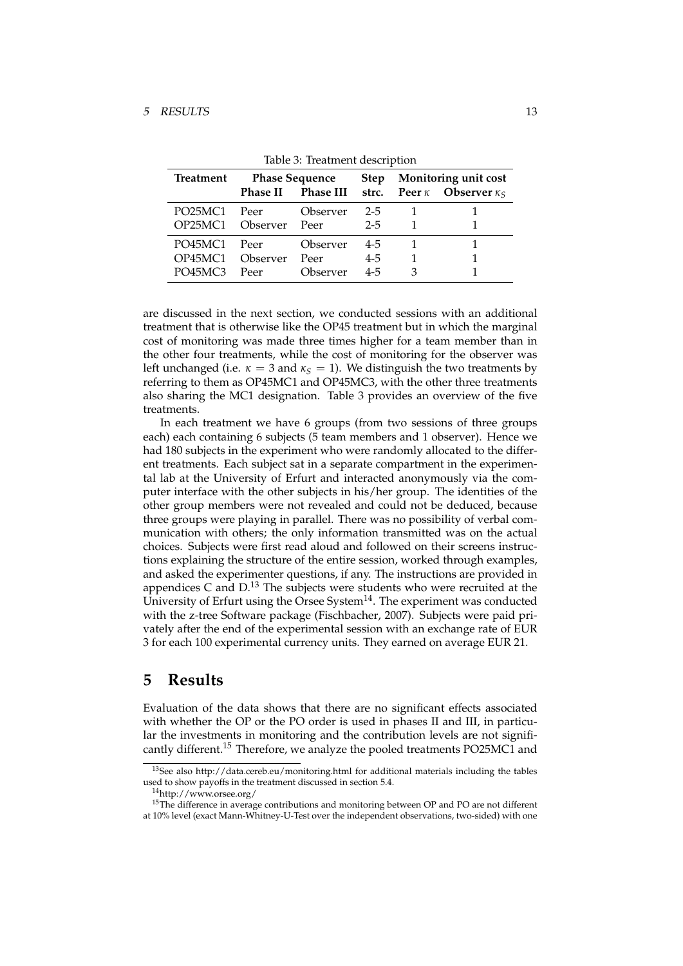| <b>Treatment</b>                            | <b>Phase Sequence</b><br><b>Phase III</b><br><b>Phase II</b> |                              | <b>Step</b><br>strc.          |   | Monitoring unit cost<br><b>Peer</b> $\kappa$ <b>Observer</b> $\kappa_S$ |
|---------------------------------------------|--------------------------------------------------------------|------------------------------|-------------------------------|---|-------------------------------------------------------------------------|
| PO <sub>25</sub> MC <sub>1</sub><br>OP25MC1 | Peer<br>Observer                                             | Observer<br>Peer             | $2 - 5$<br>$2 - 5$            |   |                                                                         |
| PO45MC1<br>OP45MC1<br>PO45MC3               | Peer<br>Observer<br>Peer                                     | Observer<br>Peer<br>Observer | $4 - 5$<br>$4 - 5$<br>$4 - 5$ | 3 |                                                                         |

<span id="page-12-0"></span>Table 3: Treatment description

are discussed in the next section, we conducted sessions with an additional treatment that is otherwise like the OP45 treatment but in which the marginal cost of monitoring was made three times higher for a team member than in the other four treatments, while the cost of monitoring for the observer was left unchanged (i.e.  $\kappa = 3$  and  $\kappa_S = 1$ ). We distinguish the two treatments by referring to them as OP45MC1 and OP45MC3, with the other three treatments also sharing the MC1 designation. Table [3](#page-12-0) provides an overview of the five treatments.

In each treatment we have 6 groups (from two sessions of three groups each) each containing 6 subjects (5 team members and 1 observer). Hence we had 180 subjects in the experiment who were randomly allocated to the different treatments. Each subject sat in a separate compartment in the experimental lab at the University of Erfurt and interacted anonymously via the computer interface with the other subjects in his/her group. The identities of the other group members were not revealed and could not be deduced, because three groups were playing in parallel. There was no possibility of verbal communication with others; the only information transmitted was on the actual choices. Subjects were first read aloud and followed on their screens instructions explaining the structure of the entire session, worked through examples, and asked the experimenter questions, if any. The instructions are provided in appendices C and  $D$ .<sup>[13](#page-12-1)</sup> The subjects were students who were recruited at the University of Erfurt using the Orsee System $14$ . The experiment was conducted with the z-tree Software package [\(Fischbacher,](#page-26-8) [2007\)](#page-26-8). Subjects were paid privately after the end of the experimental session with an exchange rate of EUR 3 for each 100 experimental currency units. They earned on average EUR 21.

## **5 Results**

Evaluation of the data shows that there are no significant effects associated with whether the OP or the PO order is used in phases II and III, in particular the investments in monitoring and the contribution levels are not signifi-cantly different.<sup>[15](#page-12-3)</sup> Therefore, we analyze the pooled treatments PO25MC1 and

<span id="page-12-1"></span><sup>&</sup>lt;sup>13</sup>See also <http://data.cereb.eu/monitoring.html> for additional materials including the tables used to show payoffs in the treatment discussed in section 5.4.

<span id="page-12-3"></span><span id="page-12-2"></span><sup>&</sup>lt;sup>14</sup><http://www.orsee.org/>

<sup>&</sup>lt;sup>15</sup>The difference in average contributions and monitoring between OP and PO are not different at 10% level (exact Mann-Whitney-U-Test over the independent observations, two-sided) with one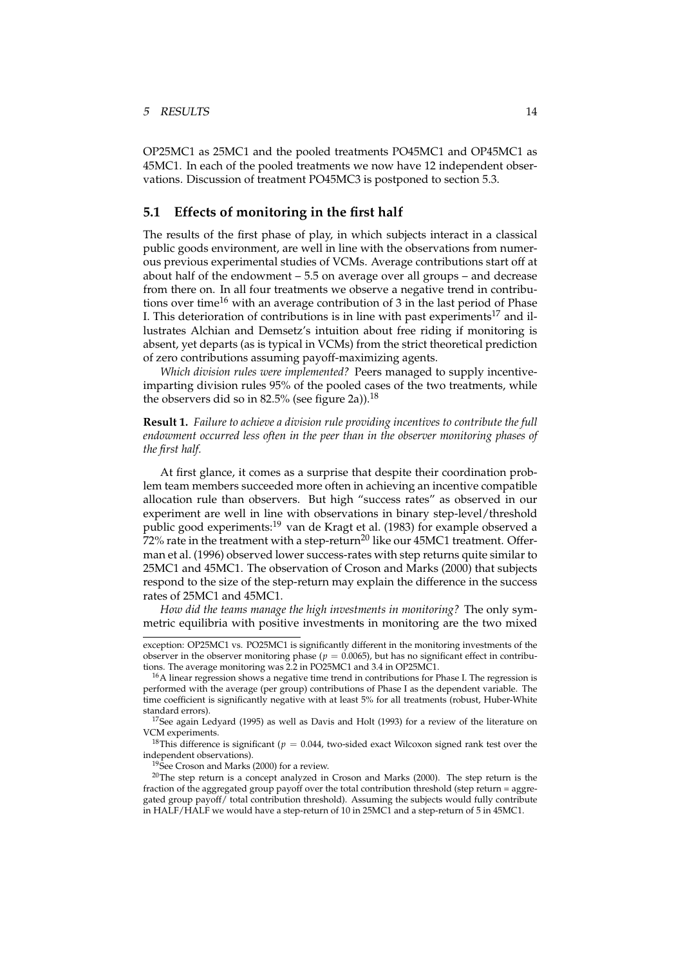OP25MC1 as 25MC1 and the pooled treatments PO45MC1 and OP45MC1 as 45MC1. In each of the pooled treatments we now have 12 independent observations. Discussion of treatment PO45MC3 is postponed to section [5.3.](#page-18-0)

## <span id="page-13-0"></span>**5.1 Effects of monitoring in the first half**

The results of the first phase of play, in which subjects interact in a classical public goods environment, are well in line with the observations from numerous previous experimental studies of VCMs. Average contributions start off at about half of the endowment – 5.5 on average over all groups – and decrease from there on. In all four treatments we observe a negative trend in contribu-tions over time<sup>[16](#page-13-1)</sup> with an average contribution of 3 in the last period of Phase I. This deterioration of contributions is in line with past experiments<sup>[17](#page-13-2)</sup> and illustrates Alchian and Demsetz's intuition about free riding if monitoring is absent, yet departs (as is typical in VCMs) from the strict theoretical prediction of zero contributions assuming payoff-maximizing agents.

*Which division rules were implemented?* Peers managed to supply incentiveimparting division rules 95% of the pooled cases of the two treatments, while the observers did so in 82.5% (see figure [2a](#page-14-0))).<sup>[18](#page-13-3)</sup>

**Result 1.** *Failure to achieve a division rule providing incentives to contribute the full endowment occurred less often in the peer than in the observer monitoring phases of the first half.*

At first glance, it comes as a surprise that despite their coordination problem team members succeeded more often in achieving an incentive compatible allocation rule than observers. But high "success rates" as observed in our experiment are well in line with observations in binary step-level/threshold public good experiments:<sup>[19](#page-13-4)</sup> [van de Kragt et al.](#page-27-7) [\(1983\)](#page-27-7) for example observed a  $72\%$  rate in the treatment with a step-return<sup>[20](#page-13-5)</sup> like our 45MC1 treatment. [Offer](#page-27-6)[man et al.](#page-27-6) [\(1996\)](#page-27-6) observed lower success-rates with step returns quite similar to 25MC1 and 45MC1. The observation of [Croson and Marks](#page-25-13) [\(2000\)](#page-25-13) that subjects respond to the size of the step-return may explain the difference in the success rates of 25MC1 and 45MC1.

*How did the teams manage the high investments in monitoring?* The only symmetric equilibria with positive investments in monitoring are the two mixed

<span id="page-13-5"></span><span id="page-13-4"></span><sup>19</sup>See [Croson and Marks](#page-25-13) [\(2000\)](#page-25-13) for a review.

exception: OP25MC1 vs. PO25MC1 is significantly different in the monitoring investments of the observer in the observer monitoring phase ( $p = 0.0065$ ), but has no significant effect in contributions. The average monitoring was 2.2 in PO25MC1 and 3.4 in OP25MC1.

<span id="page-13-1"></span><sup>&</sup>lt;sup>16</sup>A linear regression shows a negative time trend in contributions for Phase I. The regression is performed with the average (per group) contributions of Phase I as the dependent variable. The time coefficient is significantly negative with at least 5% for all treatments (robust, Huber-White standard errors).

<span id="page-13-2"></span> $17$ See again [Ledyard](#page-26-0) [\(1995\)](#page-26-0) as well as [Davis and Holt](#page-25-1) [\(1993\)](#page-25-1) for a review of the literature on VCM experiments.

<span id="page-13-3"></span><sup>&</sup>lt;sup>18</sup>This difference is significant ( $p = 0.044$ , two-sided exact Wilcoxon signed rank test over the independent observations).

 $20$ The step return is a concept analyzed in [Croson and Marks](#page-25-13) [\(2000\)](#page-25-13). The step return is the fraction of the aggregated group payoff over the total contribution threshold (step return = aggregated group payoff/ total contribution threshold). Assuming the subjects would fully contribute in HALF/HALF we would have a step-return of 10 in 25MC1 and a step-return of 5 in 45MC1.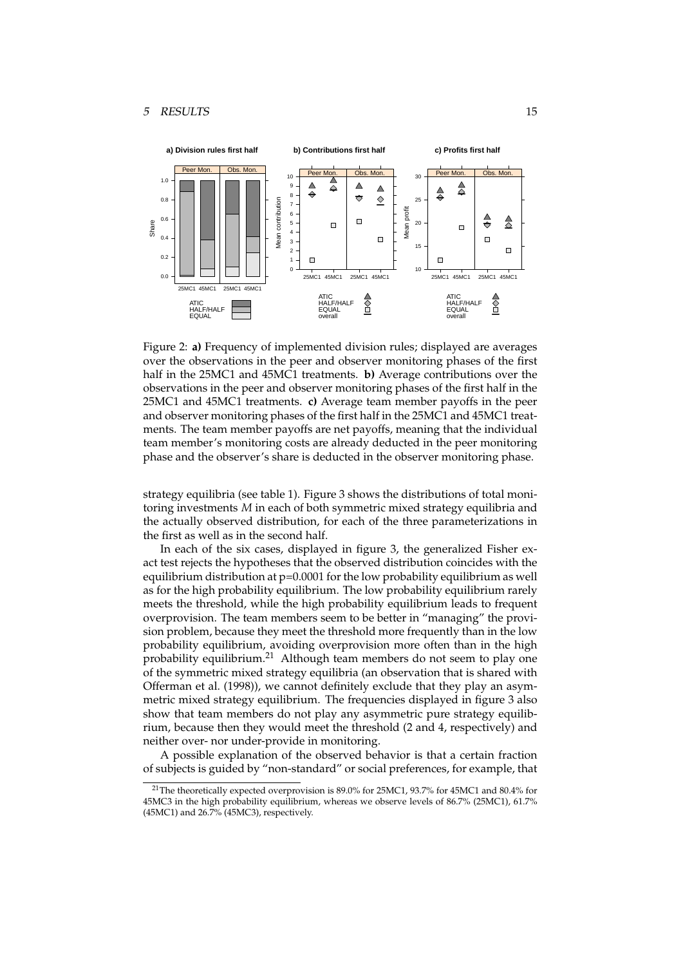

<span id="page-14-0"></span>Figure 2: **a)** Frequency of implemented division rules; displayed are averages over the observations in the peer and observer monitoring phases of the first half in the 25MC1 and 45MC1 treatments. **b)** Average contributions over the observations in the peer and observer monitoring phases of the first half in the 25MC1 and 45MC1 treatments. **c)** Average team member payoffs in the peer and observer monitoring phases of the first half in the 25MC1 and 45MC1 treatments. The team member payoffs are net payoffs, meaning that the individual team member's monitoring costs are already deducted in the peer monitoring phase and the observer's share is deducted in the observer monitoring phase.

strategy equilibria (see table [1\)](#page-9-1). Figure [3](#page-15-0) shows the distributions of total monitoring investments *M* in each of both symmetric mixed strategy equilibria and the actually observed distribution, for each of the three parameterizations in the first as well as in the second half.

In each of the six cases, displayed in figure [3,](#page-15-0) the generalized Fisher exact test rejects the hypotheses that the observed distribution coincides with the equilibrium distribution at p=0.0001 for the low probability equilibrium as well as for the high probability equilibrium. The low probability equilibrium rarely meets the threshold, while the high probability equilibrium leads to frequent overprovision. The team members seem to be better in "managing" the provision problem, because they meet the threshold more frequently than in the low probability equilibrium, avoiding overprovision more often than in the high probability equilibrium.<sup>[21](#page-14-1)</sup> Although team members do not seem to play one of the symmetric mixed strategy equilibria (an observation that is shared with [Offerman et al.](#page-27-8) [\(1998\)](#page-27-8)), we cannot definitely exclude that they play an asymmetric mixed strategy equilibrium. The frequencies displayed in figure [3](#page-15-0) also show that team members do not play any asymmetric pure strategy equilibrium, because then they would meet the threshold (2 and 4, respectively) and neither over- nor under-provide in monitoring.

A possible explanation of the observed behavior is that a certain fraction of subjects is guided by "non-standard" or social preferences, for example, that

<span id="page-14-1"></span><sup>21</sup>The theoretically expected overprovision is 89.0% for 25MC1, 93.7% for 45MC1 and 80.4% for 45MC3 in the high probability equilibrium, whereas we observe levels of 86.7% (25MC1), 61.7%  $(45MC1)$  and  $26.7\%$   $(45MC3)$ , respectively.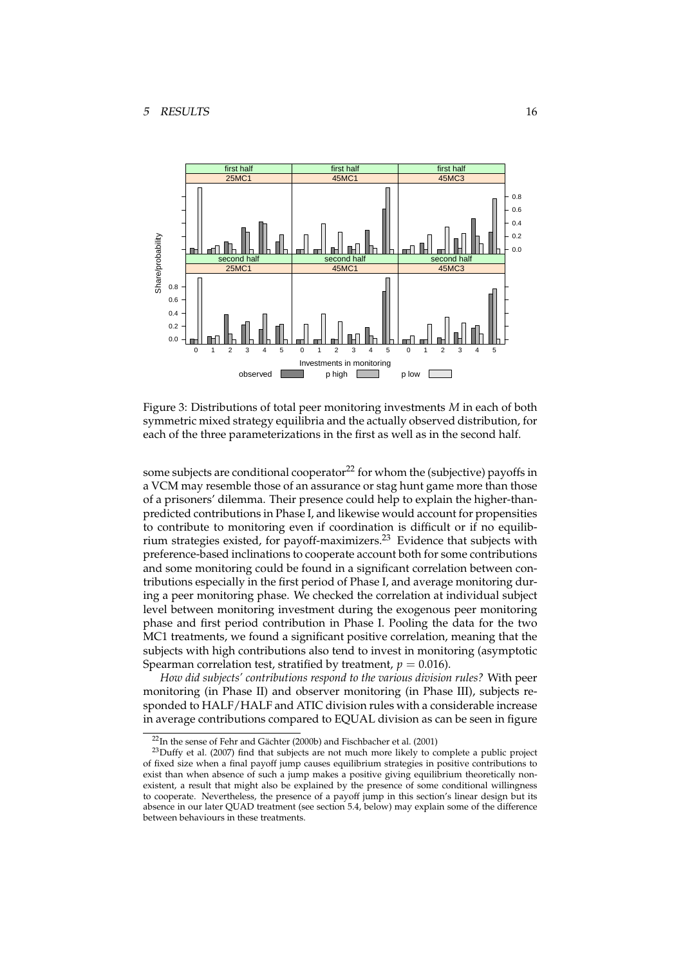

<span id="page-15-0"></span>Figure 3: Distributions of total peer monitoring investments *M* in each of both symmetric mixed strategy equilibria and the actually observed distribution, for each of the three parameterizations in the first as well as in the second half.

some subjects are conditional cooperator<sup>[22](#page-15-1)</sup> for whom the (subjective) payoffs in a VCM may resemble those of an assurance or stag hunt game more than those of a prisoners' dilemma. Their presence could help to explain the higher-thanpredicted contributions in Phase I, and likewise would account for propensities to contribute to monitoring even if coordination is difficult or if no equilibrium strategies existed, for payoff-maximizers.[23](#page-15-2) Evidence that subjects with preference-based inclinations to cooperate account both for some contributions and some monitoring could be found in a significant correlation between contributions especially in the first period of Phase I, and average monitoring during a peer monitoring phase. We checked the correlation at individual subject level between monitoring investment during the exogenous peer monitoring phase and first period contribution in Phase I. Pooling the data for the two MC1 treatments, we found a significant positive correlation, meaning that the subjects with high contributions also tend to invest in monitoring (asymptotic Spearman correlation test, stratified by treatment,  $p = 0.016$ ).

*How did subjects' contributions respond to the various division rules?* With peer monitoring (in Phase II) and observer monitoring (in Phase III), subjects responded to HALF/HALF and ATIC division rules with a considerable increase in average contributions compared to EQUAL division as can be seen in figure

<span id="page-15-2"></span><span id="page-15-1"></span><sup>&</sup>lt;sup>22</sup>In the sense of [Fehr and Gächter](#page-25-14) [\(2000b\)](#page-25-14) and [Fischbacher et al.](#page-26-9) [\(2001\)](#page-26-9)

 $23$ [Duffy et al.](#page-25-15) [\(2007\)](#page-25-15) find that subjects are not much more likely to complete a public project of fixed size when a final payoff jump causes equilibrium strategies in positive contributions to exist than when absence of such a jump makes a positive giving equilibrium theoretically nonexistent, a result that might also be explained by the presence of some conditional willingness to cooperate. Nevertheless, the presence of a payoff jump in this section's linear design but its absence in our later QUAD treatment (see section [5.4,](#page-19-0) below) may explain some of the difference between behaviours in these treatments.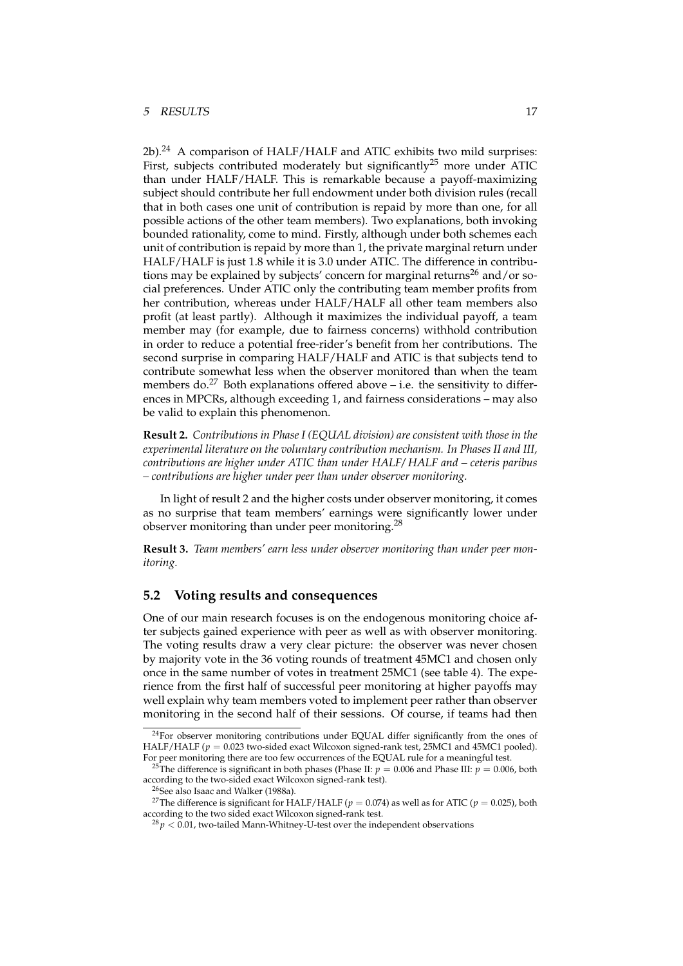[2b](#page-14-0)).[24](#page-16-0) A comparison of HALF/HALF and ATIC exhibits two mild surprises: First, subjects contributed moderately but significantly<sup>[25](#page-16-1)</sup> more under ATIC than under HALF/HALF. This is remarkable because a payoff-maximizing subject should contribute her full endowment under both division rules (recall that in both cases one unit of contribution is repaid by more than one, for all possible actions of the other team members). Two explanations, both invoking bounded rationality, come to mind. Firstly, although under both schemes each unit of contribution is repaid by more than 1, the private marginal return under HALF/HALF is just 1.8 while it is 3.0 under ATIC. The difference in contribu-tions may be explained by subjects' concern for marginal returns<sup>[26](#page-16-2)</sup> and/or social preferences. Under ATIC only the contributing team member profits from her contribution, whereas under HALF/HALF all other team members also profit (at least partly). Although it maximizes the individual payoff, a team member may (for example, due to fairness concerns) withhold contribution in order to reduce a potential free-rider's benefit from her contributions. The second surprise in comparing HALF/HALF and ATIC is that subjects tend to contribute somewhat less when the observer monitored than when the team members do.<sup>[27](#page-16-3)</sup> Both explanations offered above  $-$  i.e. the sensitivity to differences in MPCRs, although exceeding 1, and fairness considerations – may also be valid to explain this phenomenon.

**Result 2.** *Contributions in Phase I (EQUAL division) are consistent with those in the experimental literature on the voluntary contribution mechanism. In Phases II and III, contributions are higher under ATIC than under HALF/ HALF and – ceteris paribus – contributions are higher under peer than under observer monitoring.*

In light of result 2 and the higher costs under observer monitoring, it comes as no surprise that team members' earnings were significantly lower under observer monitoring than under peer monitoring. $^{28}$  $^{28}$  $^{28}$ 

**Result 3.** *Team members' earn less under observer monitoring than under peer monitoring.*

## <span id="page-16-5"></span>**5.2 Voting results and consequences**

One of our main research focuses is on the endogenous monitoring choice after subjects gained experience with peer as well as with observer monitoring. The voting results draw a very clear picture: the observer was never chosen by majority vote in the 36 voting rounds of treatment 45MC1 and chosen only once in the same number of votes in treatment 25MC1 (see table [4\)](#page-17-0). The experience from the first half of successful peer monitoring at higher payoffs may well explain why team members voted to implement peer rather than observer monitoring in the second half of their sessions. Of course, if teams had then

<span id="page-16-0"></span><sup>&</sup>lt;sup>24</sup>For observer monitoring contributions under EQUAL differ significantly from the ones of HALF/HALF ( $p = 0.023$  two-sided exact Wilcoxon signed-rank test, 25MC1 and 45MC1 pooled). For peer monitoring there are too few occurrences of the EQUAL rule for a meaningful test.

<span id="page-16-1"></span><sup>&</sup>lt;sup>25</sup>The difference is significant in both phases (Phase II:  $p = 0.006$  and Phase III:  $p = 0.006$ , both according to the two-sided exact Wilcoxon signed-rank test).

<span id="page-16-3"></span><span id="page-16-2"></span><sup>&</sup>lt;sup>26</sup>See also [Isaac and Walker](#page-26-10) [\(1988a\)](#page-26-10).

<sup>&</sup>lt;sup>27</sup>The difference is significant for HALF/HALF ( $p = 0.074$ ) as well as for ATIC ( $p = 0.025$ ), both according to the two sided exact Wilcoxon signed-rank test.

<span id="page-16-4"></span> $28 p < 0.01$ , two-tailed Mann-Whitney-U-test over the independent observations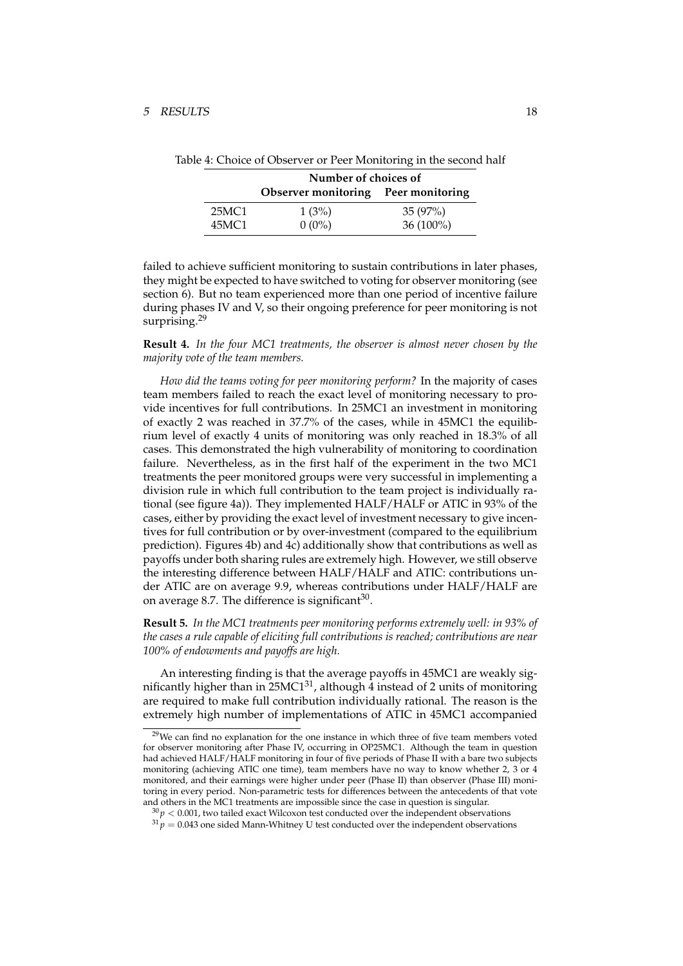<span id="page-17-0"></span>

| Number of choices of |                                     |           |  |  |  |
|----------------------|-------------------------------------|-----------|--|--|--|
|                      | Observer monitoring Peer monitoring |           |  |  |  |
| 25MC1                | 1(3%)                               | 35(97%)   |  |  |  |
| 45MC1                | $0(0\%)$                            | 36 (100%) |  |  |  |

failed to achieve sufficient monitoring to sustain contributions in later phases, they might be expected to have switched to voting for observer monitoring (see section [6\)](#page-23-0). But no team experienced more than one period of incentive failure during phases IV and V, so their ongoing preference for peer monitoring is not surprising.<sup>[29](#page-17-1)</sup>

**Result 4.** *In the four MC1 treatments, the observer is almost never chosen by the majority vote of the team members.*

*How did the teams voting for peer monitoring perform?* In the majority of cases team members failed to reach the exact level of monitoring necessary to provide incentives for full contributions. In 25MC1 an investment in monitoring of exactly 2 was reached in 37.7% of the cases, while in 45MC1 the equilibrium level of exactly 4 units of monitoring was only reached in 18.3% of all cases. This demonstrated the high vulnerability of monitoring to coordination failure. Nevertheless, as in the first half of the experiment in the two MC1 treatments the peer monitored groups were very successful in implementing a division rule in which full contribution to the team project is individually rational (see figure [4a](#page-18-1))). They implemented HALF/HALF or ATIC in 93% of the cases, either by providing the exact level of investment necessary to give incentives for full contribution or by over-investment (compared to the equilibrium prediction). Figures [4b](#page-18-1)) and [4c](#page-18-1)) additionally show that contributions as well as payoffs under both sharing rules are extremely high. However, we still observe the interesting difference between HALF/HALF and ATIC: contributions under ATIC are on average 9.9, whereas contributions under HALF/HALF are on average 8.7. The difference is significant $^{30}$  $^{30}$  $^{30}$ .

**Result 5.** *In the MC1 treatments peer monitoring performs extremely well: in 93% of the cases a rule capable of eliciting full contributions is reached; contributions are near 100% of endowments and payoffs are high.*

An interesting finding is that the average payoffs in 45MC1 are weakly significantly higher than in  $25MC1^{31}$  $25MC1^{31}$  $25MC1^{31}$ , although  $\overline{4}$  instead of 2 units of monitoring are required to make full contribution individually rational. The reason is the extremely high number of implementations of ATIC in 45MC1 accompanied

<span id="page-17-1"></span> $29$ We can find no explanation for the one instance in which three of five team members voted for observer monitoring after Phase IV, occurring in OP25MC1. Although the team in question had achieved HALF/HALF monitoring in four of five periods of Phase II with a bare two subjects monitoring (achieving ATIC one time), team members have no way to know whether 2, 3 or 4 monitored, and their earnings were higher under peer (Phase II) than observer (Phase III) monitoring in every period. Non-parametric tests for differences between the antecedents of that vote and others in the MC1 treatments are impossible since the case in question is singular.

<span id="page-17-2"></span> $\rm{^{30}}\it{p}$   $<$  0.001, two tailed exact Wilcoxon test conducted over the independent observations

<span id="page-17-3"></span> $31<sup>'p</sup> = 0.043$  one sided Mann-Whitney U test conducted over the independent observations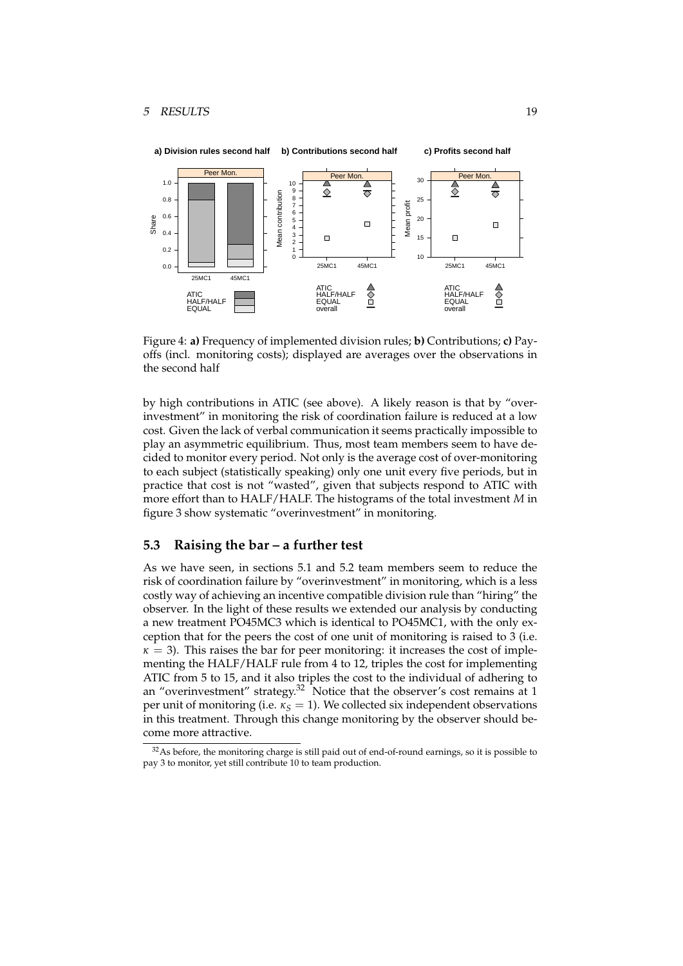

<span id="page-18-1"></span>Figure 4: **a)** Frequency of implemented division rules; **b)** Contributions; **c)** Payoffs (incl. monitoring costs); displayed are averages over the observations in the second half

by high contributions in ATIC (see above). A likely reason is that by "overinvestment" in monitoring the risk of coordination failure is reduced at a low cost. Given the lack of verbal communication it seems practically impossible to play an asymmetric equilibrium. Thus, most team members seem to have decided to monitor every period. Not only is the average cost of over-monitoring to each subject (statistically speaking) only one unit every five periods, but in practice that cost is not "wasted", given that subjects respond to ATIC with more effort than to HALF/HALF. The histograms of the total investment *M* in figure [3](#page-15-0) show systematic "overinvestment" in monitoring.

## <span id="page-18-0"></span>**5.3 Raising the bar – a further test**

As we have seen, in sections [5.1](#page-13-0) and [5.2](#page-16-5) team members seem to reduce the risk of coordination failure by "overinvestment" in monitoring, which is a less costly way of achieving an incentive compatible division rule than "hiring" the observer. In the light of these results we extended our analysis by conducting a new treatment PO45MC3 which is identical to PO45MC1, with the only exception that for the peers the cost of one unit of monitoring is raised to 3 (i.e.  $\kappa = 3$ ). This raises the bar for peer monitoring: it increases the cost of implementing the HALF/HALF rule from 4 to 12, triples the cost for implementing ATIC from 5 to 15, and it also triples the cost to the individual of adhering to an "overinvestment" strategy.<sup>[32](#page-18-2)</sup> Notice that the observer's cost remains at 1 per unit of monitoring (i.e. *κ<sup>S</sup>* = 1). We collected six independent observations in this treatment. Through this change monitoring by the observer should become more attractive.

<span id="page-18-2"></span><sup>&</sup>lt;sup>32</sup>As before, the monitoring charge is still paid out of end-of-round earnings, so it is possible to pay 3 to monitor, yet still contribute 10 to team production.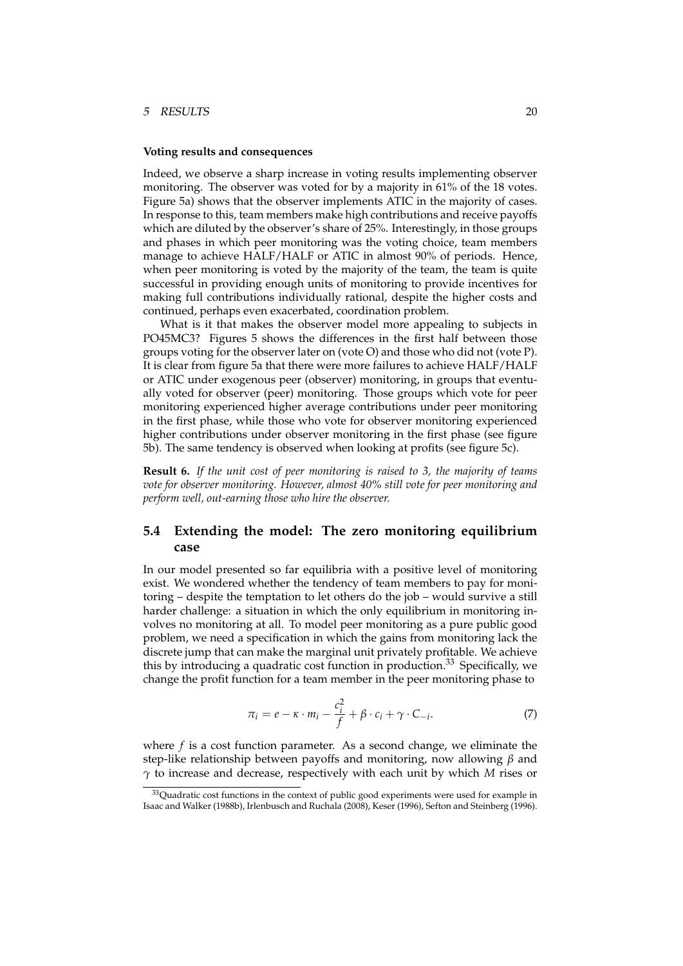#### **Voting results and consequences**

Indeed, we observe a sharp increase in voting results implementing observer monitoring. The observer was voted for by a majority in 61% of the 18 votes. Figure [5a](#page-20-0)) shows that the observer implements ATIC in the majority of cases. In response to this, team members make high contributions and receive payoffs which are diluted by the observer's share of 25%. Interestingly, in those groups and phases in which peer monitoring was the voting choice, team members manage to achieve HALF/HALF or ATIC in almost 90% of periods. Hence, when peer monitoring is voted by the majority of the team, the team is quite successful in providing enough units of monitoring to provide incentives for making full contributions individually rational, despite the higher costs and continued, perhaps even exacerbated, coordination problem.

What is it that makes the observer model more appealing to subjects in PO45MC3? Figures [5](#page-20-0) shows the differences in the first half between those groups voting for the observer later on (vote O) and those who did not (vote P). It is clear from figure 5a that there were more failures to achieve HALF/HALF or ATIC under exogenous peer (observer) monitoring, in groups that eventually voted for observer (peer) monitoring. Those groups which vote for peer monitoring experienced higher average contributions under peer monitoring in the first phase, while those who vote for observer monitoring experienced higher contributions under observer monitoring in the first phase (see figure [5b](#page-20-0)). The same tendency is observed when looking at profits (see figure [5c](#page-20-0)).

**Result 6.** *If the unit cost of peer monitoring is raised to 3, the majority of teams vote for observer monitoring. However, almost 40% still vote for peer monitoring and perform well, out-earning those who hire the observer.*

## <span id="page-19-0"></span>**5.4 Extending the model: The zero monitoring equilibrium case**

In our model presented so far equilibria with a positive level of monitoring exist. We wondered whether the tendency of team members to pay for monitoring – despite the temptation to let others do the job – would survive a still harder challenge: a situation in which the only equilibrium in monitoring involves no monitoring at all. To model peer monitoring as a pure public good problem, we need a specification in which the gains from monitoring lack the discrete jump that can make the marginal unit privately profitable. We achieve this by introducing a quadratic cost function in production.<sup>[33](#page-19-1)</sup> Specifically, we change the profit function for a team member in the peer monitoring phase to

<span id="page-19-2"></span>
$$
\pi_i = e - \kappa \cdot m_i - \frac{c_i^2}{f} + \beta \cdot c_i + \gamma \cdot C_{-i}.
$$
 (7)

where *f* is a cost function parameter. As a second change, we eliminate the step-like relationship between payoffs and monitoring, now allowing *β* and *γ* to increase and decrease, respectively with each unit by which *M* rises or

<span id="page-19-1"></span><sup>&</sup>lt;sup>33</sup>Quadratic cost functions in the context of public good experiments were used for example in [Isaac and Walker](#page-26-11) [\(1988b\)](#page-26-11), [Irlenbusch and Ruchala](#page-26-12) [\(2008\)](#page-26-12), [Keser](#page-26-13) [\(1996\)](#page-26-13), [Sefton and Steinberg](#page-27-9) [\(1996\)](#page-27-9).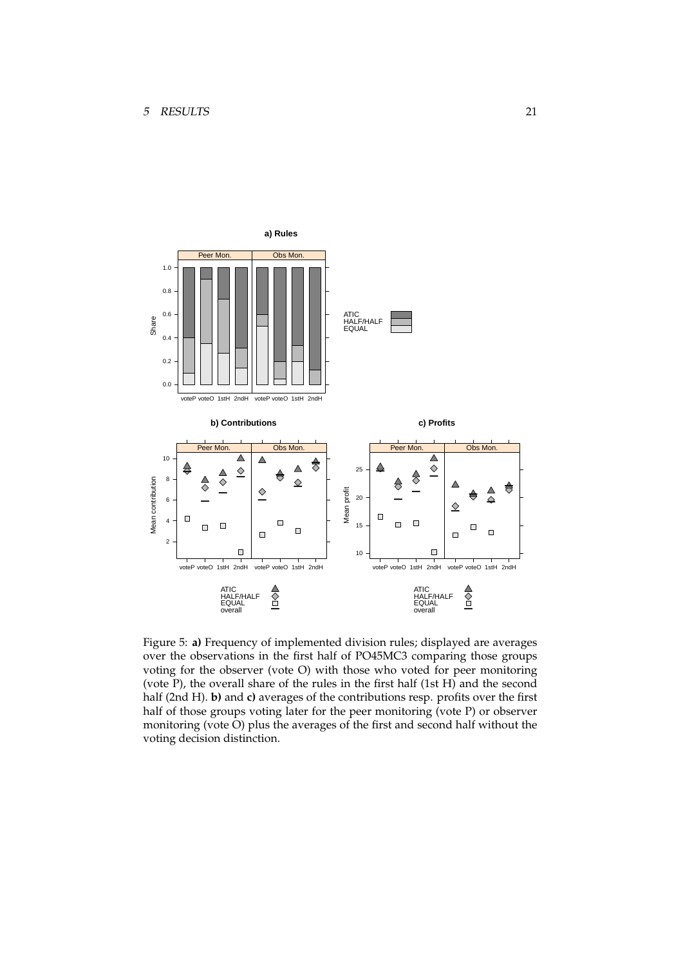

<span id="page-20-0"></span>Figure 5: **a)** Frequency of implemented division rules; displayed are averages over the observations in the first half of PO45MC3 comparing those groups voting for the observer (vote O) with those who voted for peer monitoring (vote  $\overline{P}$ ), the overall share of the rules in the first half (1st  $\overline{H}$ ) and the second half (2nd H). **b)** and **c)** averages of the contributions resp. profits over the first half of those groups voting later for the peer monitoring (vote P) or observer monitoring (vote O) plus the averages of the first and second half without the voting decision distinction.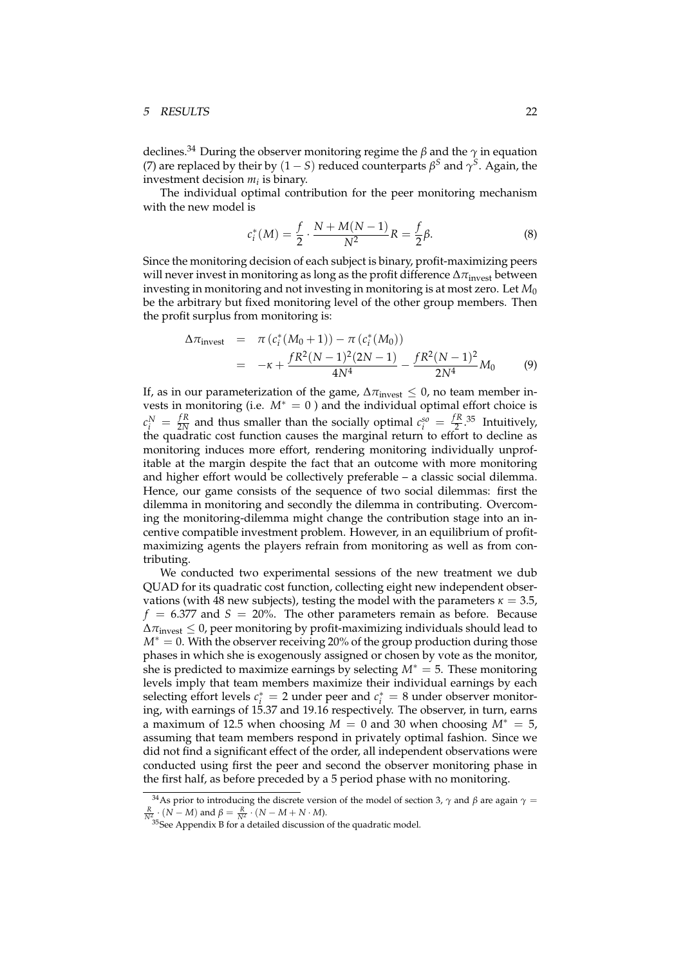declines.[34](#page-21-0) During the observer monitoring regime the *β* and the *γ* in equation [\(7\)](#page-19-2) are replaced by their by  $(1 - S)$  reduced counterparts  $\beta^S$  and  $\gamma^S$ . Again, the investment decision *m<sup>i</sup>* is binary.

The individual optimal contribution for the peer monitoring mechanism with the new model is

$$
c_i^*(M) = \frac{f}{2} \cdot \frac{N + M(N - 1)}{N^2} R = \frac{f}{2} \beta.
$$
 (8)

Since the monitoring decision of each subject is binary, profit-maximizing peers will never invest in monitoring as long as the profit difference  $\Delta \pi_{\text{invest}}$  between investing in monitoring and not investing in monitoring is at most zero. Let  $M_0$ be the arbitrary but fixed monitoring level of the other group members. Then the profit surplus from monitoring is:

$$
\Delta \pi_{\text{invest}} = \pi (c_i^*(M_0 + 1)) - \pi (c_i^*(M_0))
$$
  
= -\kappa +  $\frac{fR^2(N-1)^2(2N-1)}{4N^4} - \frac{fR^2(N-1)^2}{2N^4}M_0$  (9)

If, as in our parameterization of the game,  $\Delta \pi_{\text{invest}} \leq 0$ , no team member invests in monitoring (i.e. *M*<sup>∗</sup> = 0 ) and the individual optimal effort choice is  $c_i^N = \frac{fR}{2N}$  $\frac{fR}{2N}$  and thus smaller than the socially optimal  $c_i^{so} = \frac{fR}{2}$  $\frac{1}{2}$ <sup>2</sup>.<sup>[35](#page-21-1)</sup> Intuitively, the quadratic cost function causes the marginal return to effort to decline as monitoring induces more effort, rendering monitoring individually unprofitable at the margin despite the fact that an outcome with more monitoring and higher effort would be collectively preferable – a classic social dilemma. Hence, our game consists of the sequence of two social dilemmas: first the dilemma in monitoring and secondly the dilemma in contributing. Overcoming the monitoring-dilemma might change the contribution stage into an incentive compatible investment problem. However, in an equilibrium of profitmaximizing agents the players refrain from monitoring as well as from contributing.

We conducted two experimental sessions of the new treatment we dub QUAD for its quadratic cost function, collecting eight new independent observations (with 48 new subjects), testing the model with the parameters  $\kappa = 3.5$ ,  $f = 6.377$  and  $S = 20\%$ . The other parameters remain as before. Because ∆*π*invest ≤ 0, peer monitoring by profit-maximizing individuals should lead to *M*<sup>∗</sup> = 0. With the observer receiving 20% of the group production during those phases in which she is exogenously assigned or chosen by vote as the monitor, she is predicted to maximize earnings by selecting  $M^* = 5$ . These monitoring levels imply that team members maximize their individual earnings by each selecting effort levels  $c_i^* = 2$  under peer and  $c_i^* = 8$  under observer monitoring, with earnings of 15.37 and 19.16 respectively. The observer, in turn, earns a maximum of 12.5 when choosing  $M = 0$  and 30 when choosing  $M^* = 5$ , assuming that team members respond in privately optimal fashion. Since we did not find a significant effect of the order, all independent observations were conducted using first the peer and second the observer monitoring phase in the first half, as before preceded by a 5 period phase with no monitoring.

<span id="page-21-0"></span><sup>&</sup>lt;sup>34</sup>As prior to introducing the discrete version of the model of section [3,](#page-4-0)  $\gamma$  and  $\beta$  are again  $\gamma$  =  $\frac{R}{N_{2r}^2} \cdot (N - M)$  and  $\beta = \frac{R}{N^2} \cdot (N - M + N \cdot M)$ .

<span id="page-21-1"></span> $35$ See Appendix [B](#page-29-0) for a detailed discussion of the quadratic model.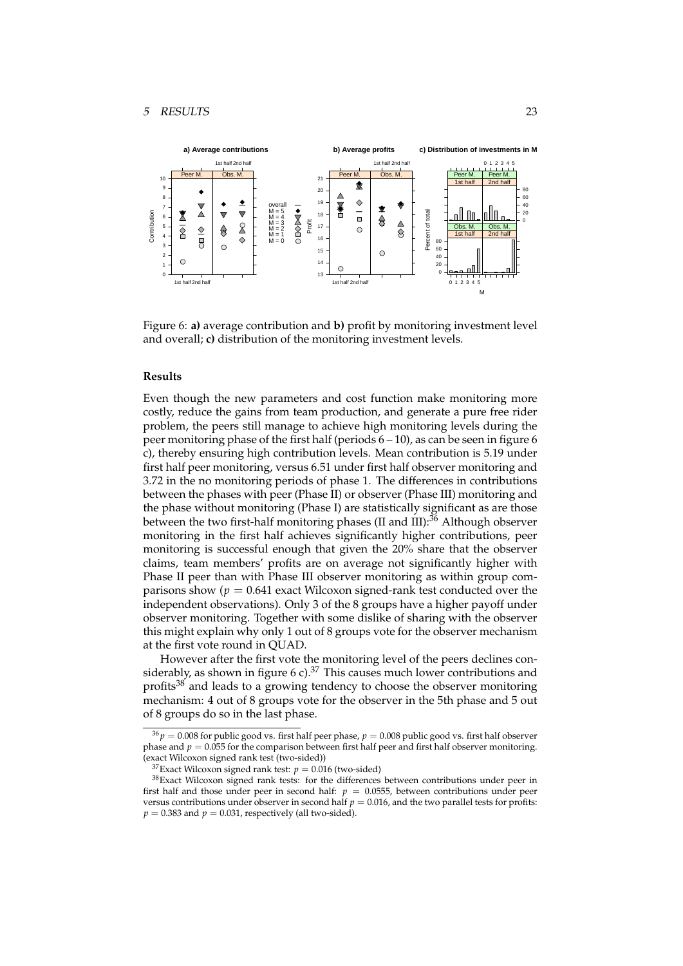

<span id="page-22-0"></span>Figure 6: **a)** average contribution and **b)** profit by monitoring investment level and overall; **c)** distribution of the monitoring investment levels.

#### **Results**

Even though the new parameters and cost function make monitoring more costly, reduce the gains from team production, and generate a pure free rider problem, the peers still manage to achieve high monitoring levels during the peer monitoring phase of the first half (periods 6 – 10), as can be seen in figure [6](#page-22-0) c), thereby ensuring high contribution levels. Mean contribution is 5.19 under first half peer monitoring, versus 6.51 under first half observer monitoring and 3.72 in the no monitoring periods of phase 1. The differences in contributions between the phases with peer (Phase II) or observer (Phase III) monitoring and the phase without monitoring (Phase I) are statistically significant as are those between the two first-half monitoring phases (II and III): $36$  Although observer monitoring in the first half achieves significantly higher contributions, peer monitoring is successful enough that given the 20% share that the observer claims, team members' profits are on average not significantly higher with Phase II peer than with Phase III observer monitoring as within group comparisons show ( $p = 0.641$  exact Wilcoxon signed-rank test conducted over the independent observations). Only 3 of the 8 groups have a higher payoff under observer monitoring. Together with some dislike of sharing with the observer this might explain why only 1 out of 8 groups vote for the observer mechanism at the first vote round in QUAD.

However after the first vote the monitoring level of the peers declines con-siderably, as shown in figure [6](#page-22-0) c).<sup>[37](#page-22-2)</sup> This causes much lower contributions and profits $38$  and leads to a growing tendency to choose the observer monitoring mechanism: 4 out of 8 groups vote for the observer in the 5th phase and 5 out of 8 groups do so in the last phase.

<span id="page-22-1"></span> $36 p = 0.008$  for public good vs. first half peer phase,  $p = 0.008$  public good vs. first half observer phase and  $p = 0.055$  for the comparison between first half peer and first half observer monitoring. (exact Wilcoxon signed rank test (two-sided))

<span id="page-22-3"></span><span id="page-22-2"></span><sup>&</sup>lt;sup>37</sup>Exact Wilcoxon signed rank test:  $p = 0.016$  (two-sided)

<sup>38</sup>Exact Wilcoxon signed rank tests: for the differences between contributions under peer in first half and those under peer in second half:  $p = 0.0555$ , between contributions under peer versus contributions under observer in second half  $p = 0.016$ , and the two parallel tests for profits:  $p = 0.383$  and  $p = 0.031$ , respectively (all two-sided).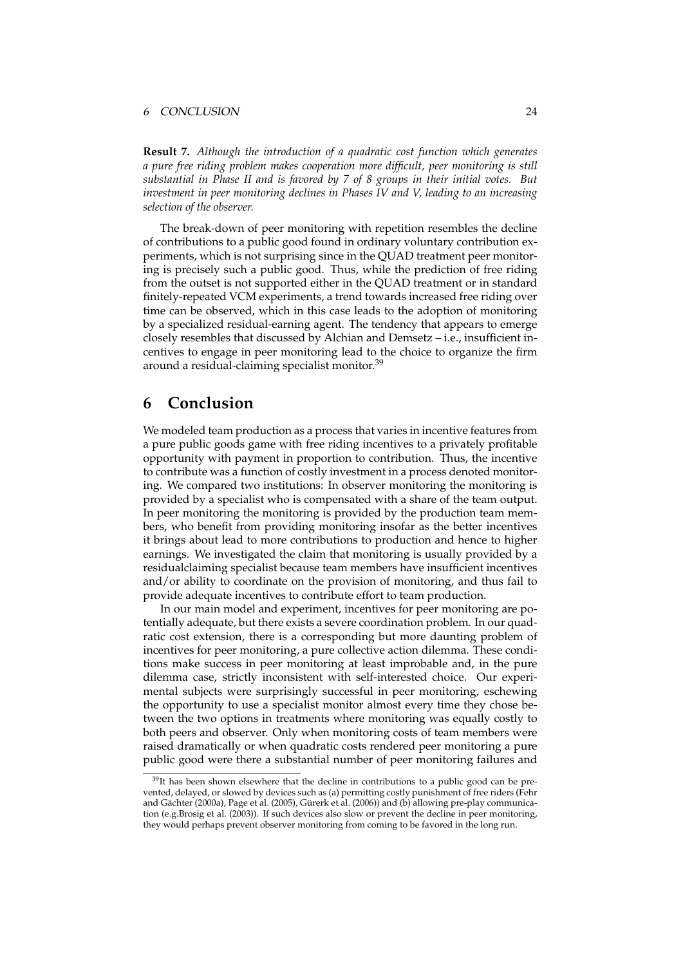#### 6 CONCLUSION 24

**Result 7.** *Although the introduction of a quadratic cost function which generates a pure free riding problem makes cooperation more difficult, peer monitoring is still substantial in Phase II and is favored by 7 of 8 groups in their initial votes. But investment in peer monitoring declines in Phases IV and V, leading to an increasing selection of the observer.*

The break-down of peer monitoring with repetition resembles the decline of contributions to a public good found in ordinary voluntary contribution experiments, which is not surprising since in the QUAD treatment peer monitoring is precisely such a public good. Thus, while the prediction of free riding from the outset is not supported either in the QUAD treatment or in standard finitely-repeated VCM experiments, a trend towards increased free riding over time can be observed, which in this case leads to the adoption of monitoring by a specialized residual-earning agent. The tendency that appears to emerge closely resembles that discussed by Alchian and Demsetz – i.e., insufficient incentives to engage in peer monitoring lead to the choice to organize the firm around a residual-claiming specialist monitor.<sup>[39](#page-23-1)</sup>

## <span id="page-23-0"></span>**6 Conclusion**

We modeled team production as a process that varies in incentive features from a pure public goods game with free riding incentives to a privately profitable opportunity with payment in proportion to contribution. Thus, the incentive to contribute was a function of costly investment in a process denoted monitoring. We compared two institutions: In observer monitoring the monitoring is provided by a specialist who is compensated with a share of the team output. In peer monitoring the monitoring is provided by the production team members, who benefit from providing monitoring insofar as the better incentives it brings about lead to more contributions to production and hence to higher earnings. We investigated the claim that monitoring is usually provided by a residualclaiming specialist because team members have insufficient incentives and/or ability to coordinate on the provision of monitoring, and thus fail to provide adequate incentives to contribute effort to team production.

In our main model and experiment, incentives for peer monitoring are potentially adequate, but there exists a severe coordination problem. In our quadratic cost extension, there is a corresponding but more daunting problem of incentives for peer monitoring, a pure collective action dilemma. These conditions make success in peer monitoring at least improbable and, in the pure dilemma case, strictly inconsistent with self-interested choice. Our experimental subjects were surprisingly successful in peer monitoring, eschewing the opportunity to use a specialist monitor almost every time they chose between the two options in treatments where monitoring was equally costly to both peers and observer. Only when monitoring costs of team members were raised dramatically or when quadratic costs rendered peer monitoring a pure public good were there a substantial number of peer monitoring failures and

<span id="page-23-1"></span> $39$ It has been shown elsewhere that the decline in contributions to a public good can be prevented, delayed, or slowed by devices such as (a) permitting costly punishment of free riders [\(Fehr](#page-25-2) [and Gächter](#page-25-2) [\(2000a\)](#page-25-2), [Page et al.](#page-27-10) [\(2005\)](#page-27-10), [Gürerk et al.](#page-26-14) [\(2006\)](#page-26-14)) and (b) allowing pre-play communication (e.g[.Brosig et al.](#page-25-3) [\(2003\)](#page-25-3)). If such devices also slow or prevent the decline in peer monitoring, they would perhaps prevent observer monitoring from coming to be favored in the long run.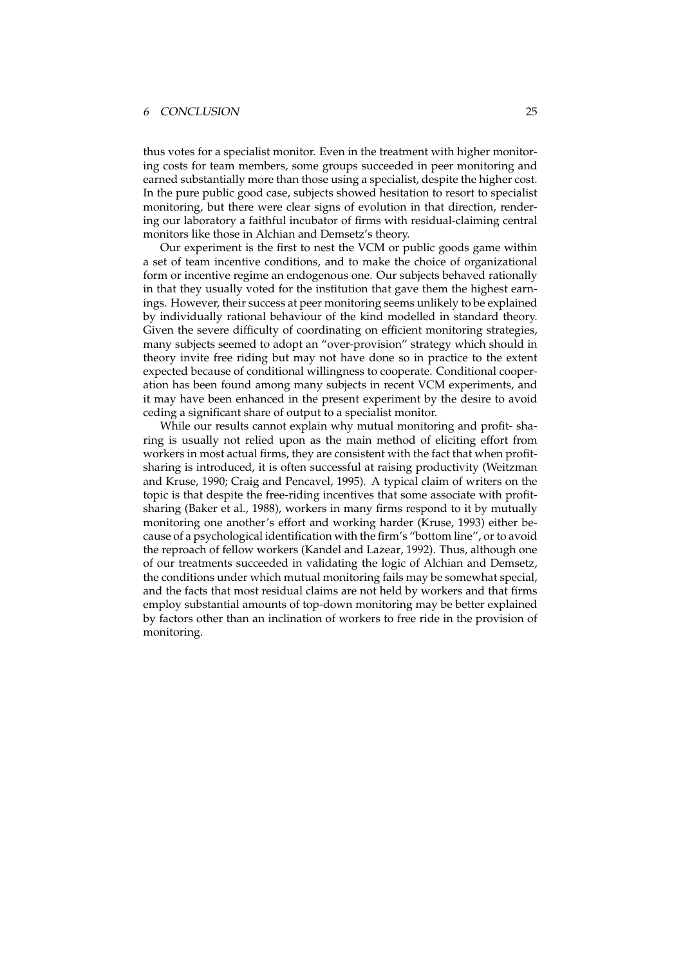#### 6 CONCLUSION 25

thus votes for a specialist monitor. Even in the treatment with higher monitoring costs for team members, some groups succeeded in peer monitoring and earned substantially more than those using a specialist, despite the higher cost. In the pure public good case, subjects showed hesitation to resort to specialist monitoring, but there were clear signs of evolution in that direction, rendering our laboratory a faithful incubator of firms with residual-claiming central monitors like those in Alchian and Demsetz's theory.

Our experiment is the first to nest the VCM or public goods game within a set of team incentive conditions, and to make the choice of organizational form or incentive regime an endogenous one. Our subjects behaved rationally in that they usually voted for the institution that gave them the highest earnings. However, their success at peer monitoring seems unlikely to be explained by individually rational behaviour of the kind modelled in standard theory. Given the severe difficulty of coordinating on efficient monitoring strategies, many subjects seemed to adopt an "over-provision" strategy which should in theory invite free riding but may not have done so in practice to the extent expected because of conditional willingness to cooperate. Conditional cooperation has been found among many subjects in recent VCM experiments, and it may have been enhanced in the present experiment by the desire to avoid ceding a significant share of output to a specialist monitor.

While our results cannot explain why mutual monitoring and profit- sharing is usually not relied upon as the main method of eliciting effort from workers in most actual firms, they are consistent with the fact that when profitsharing is introduced, it is often successful at raising productivity [\(Weitzman](#page-27-1) [and Kruse,](#page-27-1) [1990;](#page-27-1) [Craig and Pencavel,](#page-25-10) [1995\)](#page-25-10). A typical claim of writers on the topic is that despite the free-riding incentives that some associate with profitsharing [\(Baker et al.,](#page-25-16) [1988\)](#page-25-16), workers in many firms respond to it by mutually monitoring one another's effort and working harder [\(Kruse,](#page-26-15) [1993\)](#page-26-15) either because of a psychological identification with the firm's "bottom line", or to avoid the reproach of fellow workers [\(Kandel and Lazear,](#page-26-16) [1992\)](#page-26-16). Thus, although one of our treatments succeeded in validating the logic of Alchian and Demsetz, the conditions under which mutual monitoring fails may be somewhat special, and the facts that most residual claims are not held by workers and that firms employ substantial amounts of top-down monitoring may be better explained by factors other than an inclination of workers to free ride in the provision of monitoring.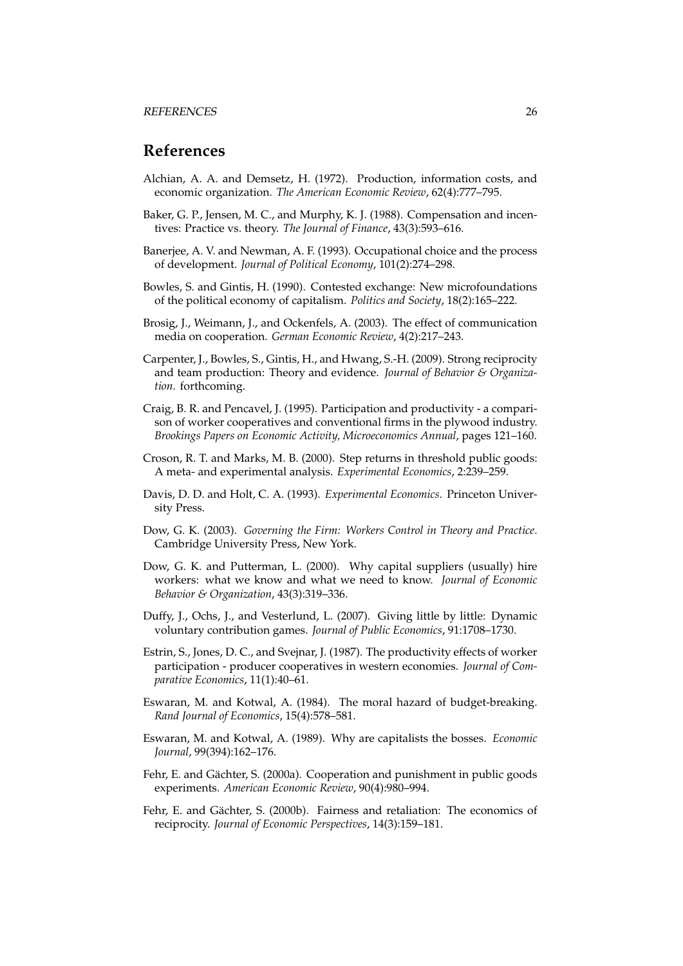#### REFERENCES 26

## **References**

- <span id="page-25-0"></span>Alchian, A. A. and Demsetz, H. (1972). Production, information costs, and economic organization. *The American Economic Review*, 62(4):777–795.
- <span id="page-25-16"></span>Baker, G. P., Jensen, M. C., and Murphy, K. J. (1988). Compensation and incentives: Practice vs. theory. *The Journal of Finance*, 43(3):593–616.
- <span id="page-25-6"></span>Banerjee, A. V. and Newman, A. F. (1993). Occupational choice and the process of development. *Journal of Political Economy*, 101(2):274–298.
- <span id="page-25-12"></span>Bowles, S. and Gintis, H. (1990). Contested exchange: New microfoundations of the political economy of capitalism. *Politics and Society*, 18(2):165–222.
- <span id="page-25-3"></span>Brosig, J., Weimann, J., and Ockenfels, A. (2003). The effect of communication media on cooperation. *German Economic Review*, 4(2):217–243.
- <span id="page-25-11"></span>Carpenter, J., Bowles, S., Gintis, H., and Hwang, S.-H. (2009). Strong reciprocity and team production: Theory and evidence. *Journal of Behavior & Organization*. forthcoming.
- <span id="page-25-10"></span>Craig, B. R. and Pencavel, J. (1995). Participation and productivity - a comparison of worker cooperatives and conventional firms in the plywood industry. *Brookings Papers on Economic Activity, Microeconomics Annual*, pages 121–160.
- <span id="page-25-13"></span>Croson, R. T. and Marks, M. B. (2000). Step returns in threshold public goods: A meta- and experimental analysis. *Experimental Economics*, 2:239–259.
- <span id="page-25-1"></span>Davis, D. D. and Holt, C. A. (1993). *Experimental Economics*. Princeton University Press.
- <span id="page-25-8"></span>Dow, G. K. (2003). *Governing the Firm: Workers Control in Theory and Practice*. Cambridge University Press, New York.
- <span id="page-25-7"></span>Dow, G. K. and Putterman, L. (2000). Why capital suppliers (usually) hire workers: what we know and what we need to know. *Journal of Economic Behavior & Organization*, 43(3):319–336.
- <span id="page-25-15"></span>Duffy, J., Ochs, J., and Vesterlund, L. (2007). Giving little by little: Dynamic voluntary contribution games. *Journal of Public Economics*, 91:1708–1730.
- <span id="page-25-9"></span>Estrin, S., Jones, D. C., and Svejnar, J. (1987). The productivity effects of worker participation - producer cooperatives in western economies. *Journal of Comparative Economics*, 11(1):40–61.
- <span id="page-25-4"></span>Eswaran, M. and Kotwal, A. (1984). The moral hazard of budget-breaking. *Rand Journal of Economics*, 15(4):578–581.
- <span id="page-25-5"></span>Eswaran, M. and Kotwal, A. (1989). Why are capitalists the bosses. *Economic Journal*, 99(394):162–176.
- <span id="page-25-2"></span>Fehr, E. and Gächter, S. (2000a). Cooperation and punishment in public goods experiments. *American Economic Review*, 90(4):980–994.
- <span id="page-25-14"></span>Fehr, E. and Gächter, S. (2000b). Fairness and retaliation: The economics of reciprocity. *Journal of Economic Perspectives*, 14(3):159–181.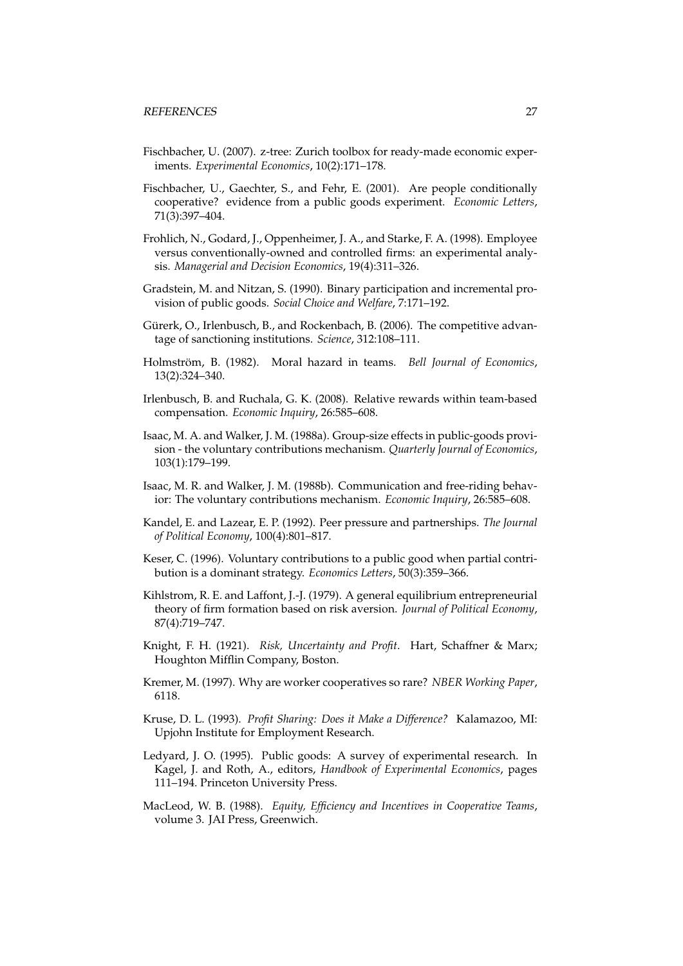#### REFERENCES 27

- <span id="page-26-8"></span>Fischbacher, U. (2007). z-tree: Zurich toolbox for ready-made economic experiments. *Experimental Economics*, 10(2):171–178.
- <span id="page-26-9"></span>Fischbacher, U., Gaechter, S., and Fehr, E. (2001). Are people conditionally cooperative? evidence from a public goods experiment. *Economic Letters*, 71(3):397–404.
- <span id="page-26-6"></span>Frohlich, N., Godard, J., Oppenheimer, J. A., and Starke, F. A. (1998). Employee versus conventionally-owned and controlled firms: an experimental analysis. *Managerial and Decision Economics*, 19(4):311–326.
- <span id="page-26-7"></span>Gradstein, M. and Nitzan, S. (1990). Binary participation and incremental provision of public goods. *Social Choice and Welfare*, 7:171–192.
- <span id="page-26-14"></span>Gürerk, O., Irlenbusch, B., and Rockenbach, B. (2006). The competitive advantage of sanctioning institutions. *Science*, 312:108–111.
- <span id="page-26-3"></span>Holmström, B. (1982). Moral hazard in teams. *Bell Journal of Economics*, 13(2):324–340.
- <span id="page-26-12"></span>Irlenbusch, B. and Ruchala, G. K. (2008). Relative rewards within team-based compensation. *Economic Inquiry*, 26:585–608.
- <span id="page-26-10"></span>Isaac, M. A. and Walker, J. M. (1988a). Group-size effects in public-goods provision - the voluntary contributions mechanism. *Quarterly Journal of Economics*, 103(1):179–199.
- <span id="page-26-11"></span>Isaac, M. R. and Walker, J. M. (1988b). Communication and free-riding behavior: The voluntary contributions mechanism. *Economic Inquiry*, 26:585–608.
- <span id="page-26-16"></span>Kandel, E. and Lazear, E. P. (1992). Peer pressure and partnerships. *The Journal of Political Economy*, 100(4):801–817.
- <span id="page-26-13"></span>Keser, C. (1996). Voluntary contributions to a public good when partial contribution is a dominant strategy. *Economics Letters*, 50(3):359–366.
- <span id="page-26-2"></span>Kihlstrom, R. E. and Laffont, J.-J. (1979). A general equilibrium entrepreneurial theory of firm formation based on risk aversion. *Journal of Political Economy*, 87(4):719–747.
- <span id="page-26-1"></span>Knight, F. H. (1921). *Risk, Uncertainty and Profit*. Hart, Schaffner & Marx; Houghton Mifflin Company, Boston.
- <span id="page-26-5"></span>Kremer, M. (1997). Why are worker cooperatives so rare? *NBER Working Paper*, 6118.
- <span id="page-26-15"></span>Kruse, D. L. (1993). *Profit Sharing: Does it Make a Difference?* Kalamazoo, MI: Upjohn Institute for Employment Research.
- <span id="page-26-0"></span>Ledyard, J. O. (1995). Public goods: A survey of experimental research. In Kagel, J. and Roth, A., editors, *Handbook of Experimental Economics*, pages 111–194. Princeton University Press.
- <span id="page-26-4"></span>MacLeod, W. B. (1988). *Equity, Efficiency and Incentives in Cooperative Teams*, volume 3. JAI Press, Greenwich.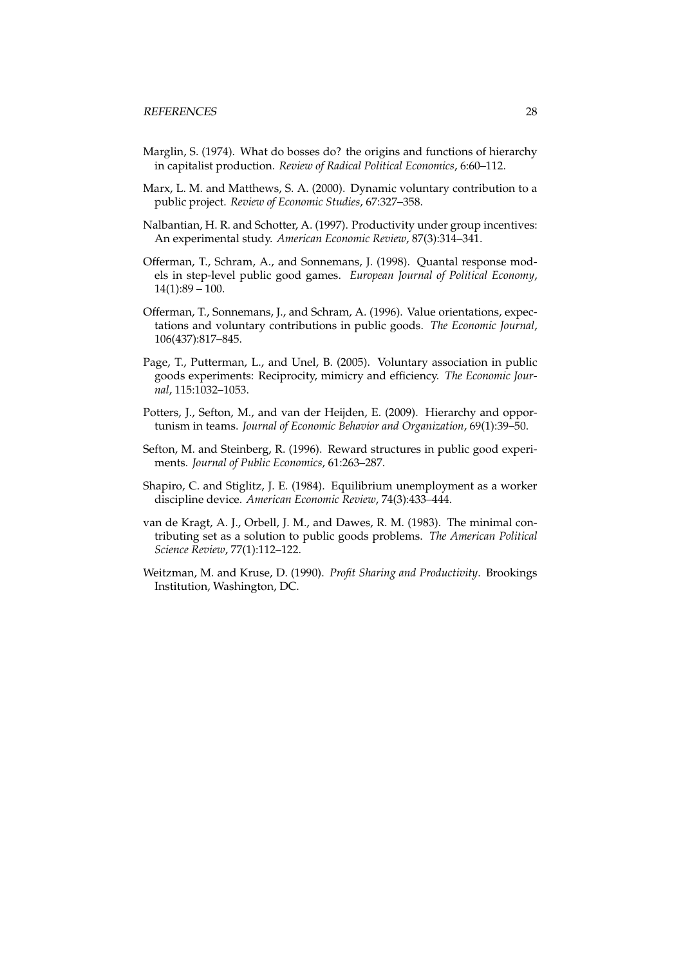#### REFERENCES 28

- <span id="page-27-0"></span>Marglin, S. (1974). What do bosses do? the origins and functions of hierarchy in capitalist production. *Review of Radical Political Economics*, 6:60–112.
- <span id="page-27-5"></span>Marx, L. M. and Matthews, S. A. (2000). Dynamic voluntary contribution to a public project. *Review of Economic Studies*, 67:327–358.
- <span id="page-27-3"></span>Nalbantian, H. R. and Schotter, A. (1997). Productivity under group incentives: An experimental study. *American Economic Review*, 87(3):314–341.
- <span id="page-27-8"></span>Offerman, T., Schram, A., and Sonnemans, J. (1998). Quantal response models in step-level public good games. *European Journal of Political Economy*,  $14(1):89 - 100.$
- <span id="page-27-6"></span>Offerman, T., Sonnemans, J., and Schram, A. (1996). Value orientations, expectations and voluntary contributions in public goods. *The Economic Journal*, 106(437):817–845.
- <span id="page-27-10"></span>Page, T., Putterman, L., and Unel, B. (2005). Voluntary association in public goods experiments: Reciprocity, mimicry and efficiency. *The Economic Journal*, 115:1032–1053.
- <span id="page-27-2"></span>Potters, J., Sefton, M., and van der Heijden, E. (2009). Hierarchy and opportunism in teams. *Journal of Economic Behavior and Organization*, 69(1):39–50.
- <span id="page-27-9"></span>Sefton, M. and Steinberg, R. (1996). Reward structures in public good experiments. *Journal of Public Economics*, 61:263–287.
- <span id="page-27-4"></span>Shapiro, C. and Stiglitz, J. E. (1984). Equilibrium unemployment as a worker discipline device. *American Economic Review*, 74(3):433–444.
- <span id="page-27-7"></span>van de Kragt, A. J., Orbell, J. M., and Dawes, R. M. (1983). The minimal contributing set as a solution to public goods problems. *The American Political Science Review*, 77(1):112–122.
- <span id="page-27-1"></span>Weitzman, M. and Kruse, D. (1990). *Profit Sharing and Productivity*. Brookings Institution, Washington, DC.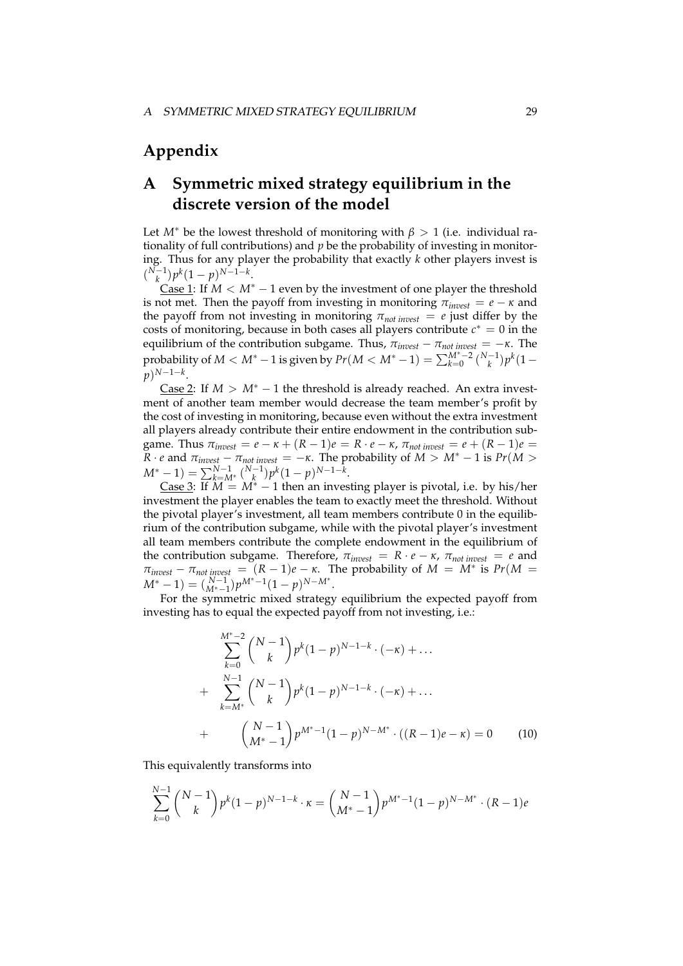## **Appendix**

## <span id="page-28-0"></span>**A Symmetric mixed strategy equilibrium in the discrete version of the model**

Let  $M^*$  be the lowest threshold of monitoring with  $\beta > 1$  (i.e. individual rationality of full contributions) and *p* be the probability of investing in monitoring. Thus for any player the probability that exactly *k* other players invest is  $\binom{N-1}{k} p^k (1-p)^{N-1-k}.$ 

Case 1: If  $M < M^* - 1$  even by the investment of one player the threshold is not met. Then the payoff from investing in monitoring  $\pi_{\text{invest}} = e - \kappa$  and the payoff from not investing in monitoring  $\pi_{\text{not invest}} = e$  just differ by the costs of monitoring, because in both cases all players contribute  $c^* = 0$  in the equilibrium of the contribution subgame. Thus,  $\pi_{\text{invest}} - \pi_{\text{not invest}} = -\kappa$ . The probability of  $M < M^* - 1$  is given by  $Pr(M < M^* - 1) = \sum_{k=0}^{M^* - 2} {N-1 \choose k} p^k (1-p)^k$ *p*) *N*−1−*k* .

Case 2: If  $M > M^* - 1$  the threshold is already reached. An extra investment of another team member would decrease the team member's profit by the cost of investing in monitoring, because even without the extra investment all players already contribute their entire endowment in the contribution subgame. Thus  $\pi_{\text{invest}} = e - \kappa + (R - 1)e = R \cdot e - \kappa$ ,  $\pi_{\text{not invest}} = e + (R - 1)e =$ *R* · *e* and  $\pi$ <sub>*invest* −  $\pi$ <sub>*not invest* = −*κ*. The probability of *M* > *M*<sup>\*</sup> − 1 is *Pr*(*M* ></sub></sub>  $M^* - 1$ ) =  $\sum_{k=M^*}^{N-1} {N-1 \choose k} p^k (1-p)^{N-1-k}$ .

<u>Case 3</u>: If  $\overline{M} = \overline{M^*} - 1$  then an investing player is pivotal, i.e. by his/her investment the player enables the team to exactly meet the threshold. Without the pivotal player's investment, all team members contribute 0 in the equilibrium of the contribution subgame, while with the pivotal player's investment all team members contribute the complete endowment in the equilibrium of the contribution subgame. Therefore,  $\pi_{\text{invest}} = R \cdot e - \kappa$ ,  $\pi_{\text{not invest}} = e$  and  $\pi_{\text{invest}} - \pi_{\text{not invest}} = (R-1)e - \kappa$ . The probability of  $M = M^*$  is  $Pr(M =$  $M^* - 1 = {N-1 \choose M^* - 1} p^{M^* - 1} (1 - p)^{N - M^*}.$ 

For the symmetric mixed strategy equilibrium the expected payoff from investing has to equal the expected payoff from not investing, i.e.:

$$
\sum_{k=0}^{M^*-2} {N-1 \choose k} p^k (1-p)^{N-1-k} \cdot (-\kappa) + \dots
$$
  
+ 
$$
\sum_{k=M^*}^{N-1} {N-1 \choose k} p^k (1-p)^{N-1-k} \cdot (-\kappa) + \dots
$$
  
+ 
$$
{N-1 \choose M^*-1} p^{M^*-1} (1-p)^{N-M^*} \cdot ((R-1)e - \kappa) = 0
$$
 (10)

This equivalently transforms into

$$
\sum_{k=0}^{N-1} {N-1 \choose k} p^{k} (1-p)^{N-1-k} \cdot \kappa = {N-1 \choose M^*-1} p^{M^*-1} (1-p)^{N-M^*} \cdot (R-1)e^{jN-M^*}
$$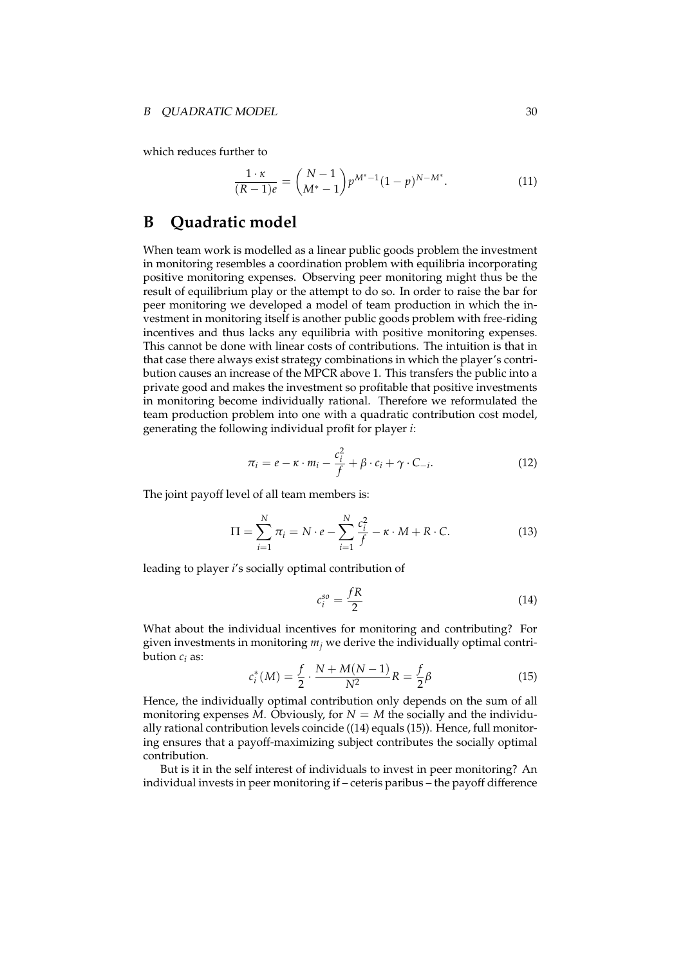which reduces further to

$$
\frac{1 \cdot \kappa}{(R-1)e} = {N-1 \choose M^*-1} p^{M^*-1} (1-p)^{N-M^*}.
$$
 (11)

## <span id="page-29-0"></span>**B Quadratic model**

When team work is modelled as a linear public goods problem the investment in monitoring resembles a coordination problem with equilibria incorporating positive monitoring expenses. Observing peer monitoring might thus be the result of equilibrium play or the attempt to do so. In order to raise the bar for peer monitoring we developed a model of team production in which the investment in monitoring itself is another public goods problem with free-riding incentives and thus lacks any equilibria with positive monitoring expenses. This cannot be done with linear costs of contributions. The intuition is that in that case there always exist strategy combinations in which the player's contribution causes an increase of the MPCR above 1. This transfers the public into a private good and makes the investment so profitable that positive investments in monitoring become individually rational. Therefore we reformulated the team production problem into one with a quadratic contribution cost model, generating the following individual profit for player *i*:

$$
\pi_i = e - \kappa \cdot m_i - \frac{c_i^2}{f} + \beta \cdot c_i + \gamma \cdot C_{-i}.
$$
\n(12)

The joint payoff level of all team members is:

$$
\Pi = \sum_{i=1}^{N} \pi_i = N \cdot e - \sum_{i=1}^{N} \frac{c_i^2}{f} - \kappa \cdot M + R \cdot C.
$$
 (13)

leading to player *i*'s socially optimal contribution of

<span id="page-29-1"></span>
$$
c_i^{so} = \frac{fR}{2} \tag{14}
$$

What about the individual incentives for monitoring and contributing? For given investments in monitoring *m<sup>j</sup>* we derive the individually optimal contribution *c<sup>i</sup>* as:

<span id="page-29-2"></span>
$$
c_i^*(M) = \frac{f}{2} \cdot \frac{N + M(N-1)}{N^2} R = \frac{f}{2} \beta
$$
 (15)

Hence, the individually optimal contribution only depends on the sum of all monitoring expenses *M*. Obviously, for  $N = M$  the socially and the individually rational contribution levels coincide ([\(14\)](#page-29-1) equals [\(15\)](#page-29-2)). Hence, full monitoring ensures that a payoff-maximizing subject contributes the socially optimal contribution.

But is it in the self interest of individuals to invest in peer monitoring? An individual invests in peer monitoring if – ceteris paribus – the payoff difference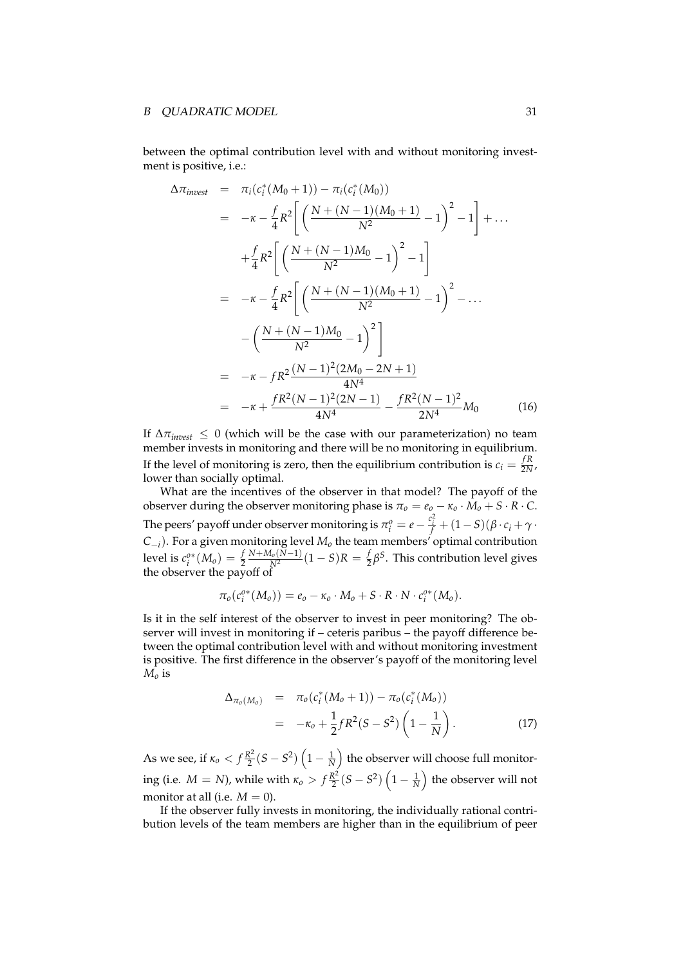between the optimal contribution level with and without monitoring investment is positive, i.e.:

$$
\Delta \pi_{\text{invest}} = \pi_i (c_i^* (M_0 + 1)) - \pi_i (c_i^* (M_0))
$$
  
\n
$$
= -\kappa - \frac{f}{4} R^2 \left[ \left( \frac{N + (N - 1)(M_0 + 1)}{N^2} - 1 \right)^2 - 1 \right] + \dots
$$
  
\n
$$
+ \frac{f}{4} R^2 \left[ \left( \frac{N + (N - 1)M_0}{N^2} - 1 \right)^2 - 1 \right]
$$
  
\n
$$
= -\kappa - \frac{f}{4} R^2 \left[ \left( \frac{N + (N - 1)(M_0 + 1)}{N^2} - 1 \right)^2 - \dots
$$
  
\n
$$
- \left( \frac{N + (N - 1)M_0}{N^2} - 1 \right)^2 \right]
$$
  
\n
$$
= -\kappa - f R^2 \frac{(N - 1)^2 (2M_0 - 2N + 1)}{4N^4}
$$
  
\n
$$
= -\kappa + \frac{f R^2 (N - 1)^2 (2N - 1)}{4N^4} - \frac{f R^2 (N - 1)^2}{2N^4} M_0
$$
 (16)

If  $\Delta \pi_{\text{invest}} \leq 0$  (which will be the case with our parameterization) no team member invests in monitoring and there will be no monitoring in equilibrium. If the level of monitoring is zero, then the equilibrium contribution is  $c_i = \frac{fR}{2N}$  $\frac{1}{2N}$ lower than socially optimal.

What are the incentives of the observer in that model? The payoff of the observer during the observer monitoring phase is  $\pi_o = e_o - \kappa_o \cdot M_o + S \cdot R \cdot C$ . The peers' payoff under observer monitoring is  $\pi_i^o = e - \frac{c_i^2}{f} + (1-S)(\beta \cdot c_i + \gamma \cdot \beta)$ *C*−*i*). For a given monitoring level *M<sup>o</sup>* the team members' optimal contribution  $\text{level is } c_i^{o*}(M_o) = \frac{f}{2} \frac{N + M_o(N-1)}{N^2}$  $\frac{I_o(N-1)}{N^2}(1-S)R = \frac{f_o}{2}$  $\frac{f}{2}$ β<sup>S</sup>. This contribution level gives the observer the payoff of

$$
\pi_o(c_i^{o*}(M_o))=e_o-\kappa_o\cdot M_o+S\cdot R\cdot N\cdot c_i^{o*}(M_o).
$$

Is it in the self interest of the observer to invest in peer monitoring? The observer will invest in monitoring if – ceteris paribus – the payoff difference between the optimal contribution level with and without monitoring investment is positive. The first difference in the observer's payoff of the monitoring level  $M<sub>o</sub>$  is

$$
\Delta_{\pi_o(M_o)} = \pi_o(c_i^*(M_o + 1)) - \pi_o(c_i^*(M_o))
$$
  
= -\kappa\_o + \frac{1}{2}fR^2(S - S^2) \left(1 - \frac{1}{N}\right). (17)

As we see, if  $\kappa_o < f\frac{R^2}{2}$  $\frac{\mathcal{R}^2}{2}(S-S^2)\left(1-\frac{1}{N}\right)$  the observer will choose full monitoring (i.e.  $M = N$ ), while with  $\kappa_o > f \frac{R^2}{2}$  $\frac{\mathcal{R}^2}{2}(S-S^2)\left(1-\frac{1}{N}\right)$  the observer will not monitor at all (i.e.  $M = 0$ ).

If the observer fully invests in monitoring, the individually rational contribution levels of the team members are higher than in the equilibrium of peer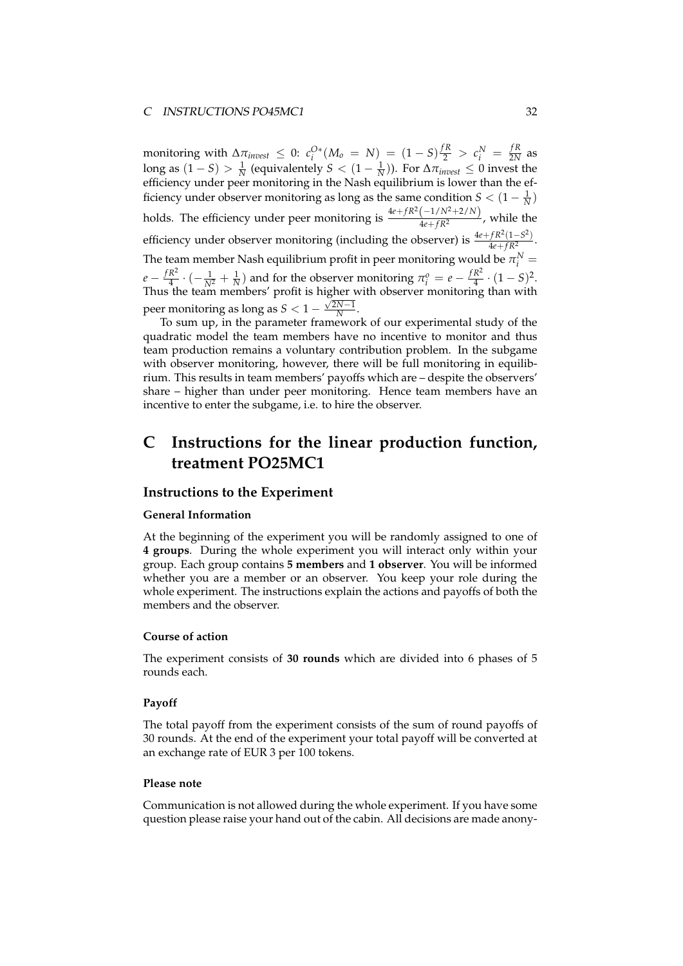#### C INSTRUCTIONS PO45MC1 32

monitoring with  $\Delta \pi_{\text{invest}} \leq 0$ :  $c_i^{O*}(M_o = N) = (1 - S) \frac{fR}{2} > c_i^N = \frac{fR}{2N}$  $\frac{fN}{2N}$  as long as  $(1 - S) > \frac{1}{N}$  (equivalentely  $S < (1 - \frac{1}{N})$ ). For  $\Delta \pi_{\text{invest}} \leq 0$  invest the efficiency under peer monitoring in the Nash equilibrium is lower than the efficiency under observer monitoring as long as the same condition  $S < (1 - \frac{1}{N})$  $\frac{1}{2}$  holds. The efficiency under peer monitoring is  $\frac{4e+fR^2(-1/N^2+2/N)}{4e+fR^2}$ , while the  $\frac{(1+i)(1+i)(1+i)}{4e+fR^2}$ , while the efficiency under observer monitoring (including the observer) is  $\frac{4e+fR^2(1-S^2)}{4e+fR^2}$  $\frac{f(x+2)}{4e+fR^2}$ . The team member Nash equilibrium profit in peer monitoring would be  $\pi_i^N =$  $e - \frac{fR^2}{4}$  $\frac{R^2}{4} \cdot \left(-\frac{1}{N^2} + \frac{1}{N}\right)$  and for the observer monitoring  $\pi_i^0 = e - \frac{fR^2}{4}$  $rac{R^2}{4} \cdot (1 - S)^2$ . Thus the team members' profit is higher with observer monitoring than with peer monitoring as long as  $S < 1 - \frac{\sqrt{2N-1}}{N}$ .

To sum up, in the parameter framework of our experimental study of the quadratic model the team members have no incentive to monitor and thus team production remains a voluntary contribution problem. In the subgame with observer monitoring, however, there will be full monitoring in equilibrium. This results in team members' payoffs which are – despite the observers' share – higher than under peer monitoring. Hence team members have an incentive to enter the subgame, i.e. to hire the observer.

## **C Instructions for the linear production function, treatment PO25MC1**

## **Instructions to the Experiment**

### **General Information**

At the beginning of the experiment you will be randomly assigned to one of **4 groups**. During the whole experiment you will interact only within your group. Each group contains **5 members** and **1 observer**. You will be informed whether you are a member or an observer. You keep your role during the whole experiment. The instructions explain the actions and payoffs of both the members and the observer.

#### **Course of action**

The experiment consists of **30 rounds** which are divided into 6 phases of 5 rounds each.

#### **Payoff**

The total payoff from the experiment consists of the sum of round payoffs of 30 rounds. At the end of the experiment your total payoff will be converted at an exchange rate of EUR 3 per 100 tokens.

## **Please note**

Communication is not allowed during the whole experiment. If you have some question please raise your hand out of the cabin. All decisions are made anony-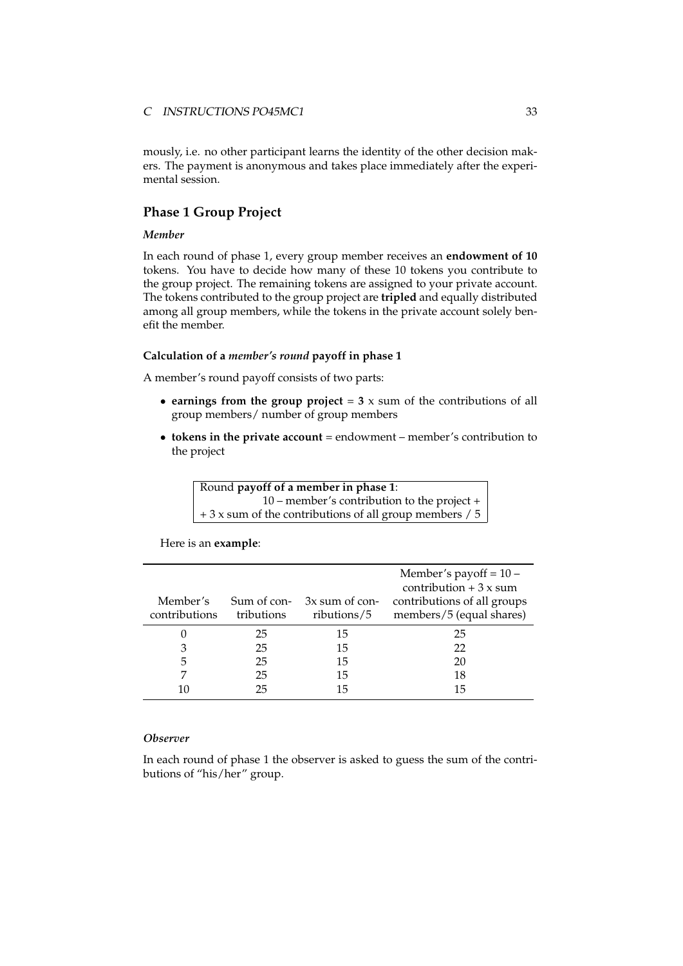## C INSTRUCTIONS PO45MC1 33

mously, i.e. no other participant learns the identity of the other decision makers. The payment is anonymous and takes place immediately after the experimental session.

## **Phase 1 Group Project**

## *Member*

In each round of phase 1, every group member receives an **endowment of 10** tokens. You have to decide how many of these 10 tokens you contribute to the group project. The remaining tokens are assigned to your private account. The tokens contributed to the group project are **tripled** and equally distributed among all group members, while the tokens in the private account solely benefit the member.

### **Calculation of a** *member's round* **payoff in phase 1**

A member's round payoff consists of two parts:

- **earnings from the group project** =  $3 \times$  sum of the contributions of all group members/ number of group members
- **tokens in the private account** = endowment member's contribution to the project

Round **payoff of a member in phase 1**: 10 – member's contribution to the project +  $+ 3x$  sum of the contributions of all group members / 5

| Member's<br>contributions | Sum of con-<br>tributions | $3x$ sum of con-<br>ributions/5 | Member's payoff = $10 -$<br>contribution $+3x$ sum<br>contributions of all groups<br>members/5 (equal shares) |
|---------------------------|---------------------------|---------------------------------|---------------------------------------------------------------------------------------------------------------|
|                           | 25                        | 15                              | 25                                                                                                            |
| 3                         | 25                        | 15                              | 22                                                                                                            |
| 5                         | 25                        | 15                              | 20                                                                                                            |
|                           | 25                        | 15                              | 18                                                                                                            |
| 10                        | 25                        | 15                              | 15                                                                                                            |

#### Here is an **example**:

## *Observer*

In each round of phase 1 the observer is asked to guess the sum of the contributions of "his/her" group.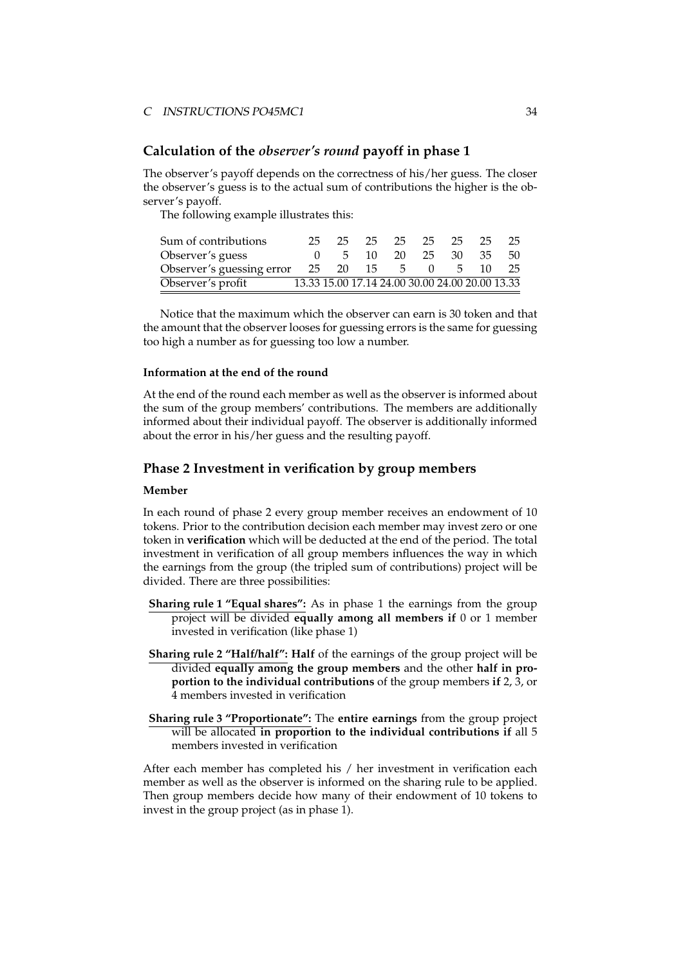## **Calculation of the** *observer's round* **payoff in phase 1**

The observer's payoff depends on the correctness of his/her guess. The closer the observer's guess is to the actual sum of contributions the higher is the observer's payoff.

The following example illustrates this:

| Sum of contributions                                                     | 25. | 25   |       | 25 25 25 | 25    | 25     |                                                 |
|--------------------------------------------------------------------------|-----|------|-------|----------|-------|--------|-------------------------------------------------|
| Observer's guess                                                         |     | $-5$ | 10 20 |          | 25 30 | -35    | - 50                                            |
| Observer's guessing error $25 \quad 20 \quad 15 \quad 5 \quad 0 \quad 5$ |     |      |       |          |       | - 10 - | -25                                             |
| Observer's profit                                                        |     |      |       |          |       |        | 13.33 15.00 17.14 24.00 30.00 24.00 20.00 13.33 |

Notice that the maximum which the observer can earn is 30 token and that the amount that the observer looses for guessing errors is the same for guessing too high a number as for guessing too low a number.

## **Information at the end of the round**

At the end of the round each member as well as the observer is informed about the sum of the group members' contributions. The members are additionally informed about their individual payoff. The observer is additionally informed about the error in his/her guess and the resulting payoff.

## **Phase 2 Investment in verification by group members**

## **Member**

In each round of phase 2 every group member receives an endowment of 10 tokens. Prior to the contribution decision each member may invest zero or one token in **verification** which will be deducted at the end of the period. The total investment in verification of all group members influences the way in which the earnings from the group (the tripled sum of contributions) project will be divided. There are three possibilities:

- **Sharing rule 1 "Equal shares":** As in phase 1 the earnings from the group project will be divided **equally among all members if** 0 or 1 member invested in verification (like phase 1)
- **Sharing rule 2 "Half/half": Half** of the earnings of the group project will be divided **equally among the group members** and the other **half in proportion to the individual contributions** of the group members **if** 2, 3, or 4 members invested in verification
- **Sharing rule 3 "Proportionate":** The **entire earnings** from the group project will be allocated **in proportion to the individual contributions if** all 5 members invested in verification

After each member has completed his / her investment in verification each member as well as the observer is informed on the sharing rule to be applied. Then group members decide how many of their endowment of 10 tokens to invest in the group project (as in phase 1).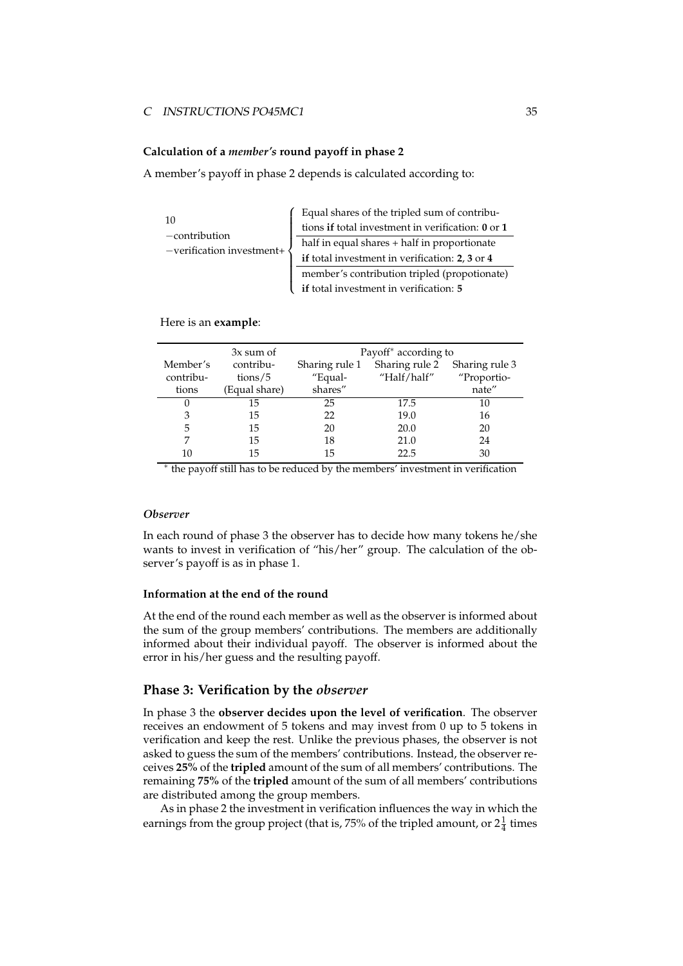## C INSTRUCTIONS PO45MC1 35

### **Calculation of a** *member's* **round payoff in phase 2**

A member's payoff in phase 2 depends is calculated according to:

| 10                          | Equal shares of the tripled sum of contribu-      |
|-----------------------------|---------------------------------------------------|
| -contribution               | tions if total investment in verification: 0 or 1 |
|                             | half in equal shares + half in proportionate      |
| -verification investment+ < | if total investment in verification: 2, 3 or 4    |
|                             | member's contribution tripled (propotionate)      |
|                             | if total investment in verification: 5            |

## Here is an **example**:

|           | $3x$ sum of   | Payoff <sup>*</sup> according to |                |                |  |  |
|-----------|---------------|----------------------------------|----------------|----------------|--|--|
| Member's  | contribu-     | Sharing rule 1                   | Sharing rule 2 | Sharing rule 3 |  |  |
| contribu- | tions/ $5$    | "Equal-                          | "Half/half"    | "Proportio-    |  |  |
| tions     | (Equal share) | shares"                          |                | nate"          |  |  |
| 0         | 15            | 25                               | 17.5           | 10             |  |  |
| 3         | 15            | 22                               | 19.0           | 16             |  |  |
| 5         | 15            | 20                               | 20.0           | 20             |  |  |
|           | 15            | 18                               | 21.0           | 24             |  |  |
| 10        | 15            | 15                               | 22.5           | 30             |  |  |

∗ the payoff still has to be reduced by the members' investment in verification

#### *Observer*

In each round of phase 3 the observer has to decide how many tokens he/she wants to invest in verification of "his/her" group. The calculation of the observer's payoff is as in phase 1.

## **Information at the end of the round**

At the end of the round each member as well as the observer is informed about the sum of the group members' contributions. The members are additionally informed about their individual payoff. The observer is informed about the error in his/her guess and the resulting payoff.

## **Phase 3: Verification by the** *observer*

In phase 3 the **observer decides upon the level of verification**. The observer receives an endowment of 5 tokens and may invest from 0 up to 5 tokens in verification and keep the rest. Unlike the previous phases, the observer is not asked to guess the sum of the members' contributions. Instead, the observer receives **25%** of the **tripled** amount of the sum of all members' contributions. The remaining **75%** of the **tripled** amount of the sum of all members' contributions are distributed among the group members.

As in phase 2 the investment in verification influences the way in which the earnings from the group project (that is, 75% of the tripled amount, or  $2\frac{1}{4}$  times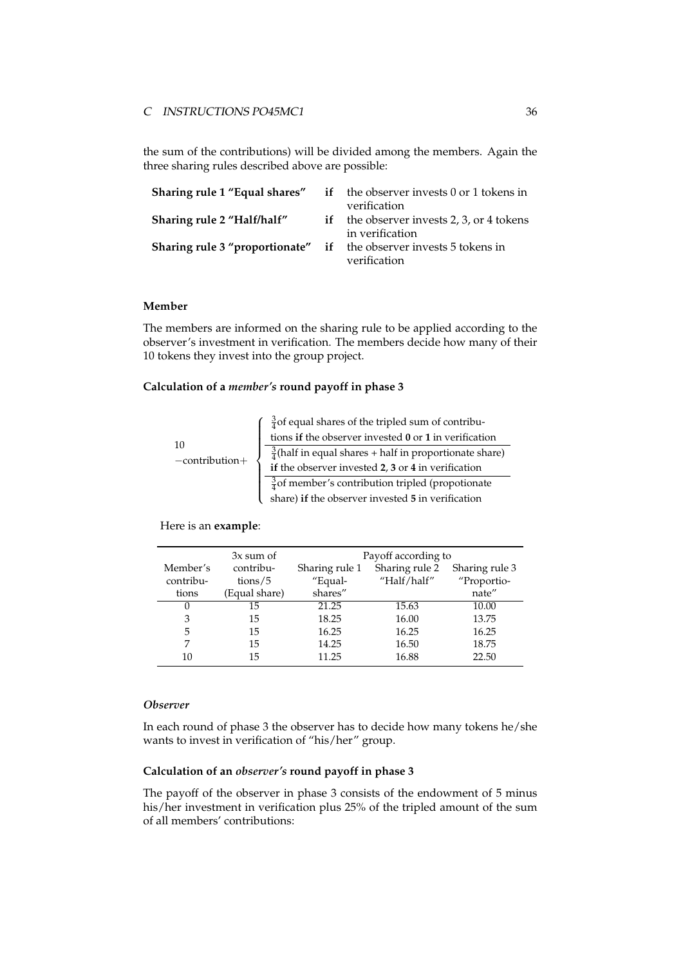## C INSTRUCTIONS PO45MC1 36

the sum of the contributions) will be divided among the members. Again the three sharing rules described above are possible:

|                                                                           | <b>Sharing rule 1 "Equal shares"</b> if the observer invests 0 or 1 tokens in<br>verification |
|---------------------------------------------------------------------------|-----------------------------------------------------------------------------------------------|
| Sharing rule 2 "Half/half"                                                | if the observer invests 2, 3, or 4 tokens<br>in verification                                  |
| <b>Sharing rule 3 "proportionate"</b> if the observer invests 5 tokens in | verification                                                                                  |

## **Member**

The members are informed on the sharing rule to be applied according to the observer's investment in verification. The members decide how many of their 10 tokens they invest into the group project.

## **Calculation of a** *member's* **round payoff in phase 3**

|                      | $\frac{3}{4}$ of equal shares of the tripled sum of contribu-         |
|----------------------|-----------------------------------------------------------------------|
| 10                   | tions if the observer invested ${\bf 0}$ or ${\bf 1}$ in verification |
|                      | $\frac{3}{4}$ (half in equal shares + half in proportionate share)    |
| $-$ contribution $+$ | if the observer invested $2,3$ or $4$ in verification                 |
|                      | $\frac{3}{4}$ of member's contribution tripled (propotionate          |
|                      | share) if the observer invested 5 in verification                     |

### Here is an **example**:

|           | $3x$ sum of   |                | Payoff according to |                |
|-----------|---------------|----------------|---------------------|----------------|
| Member's  | contribu-     | Sharing rule 1 | Sharing rule 2      | Sharing rule 3 |
| contribu- | tions/ $5$    | "Equal-        | "Half/half"         | "Proportio-    |
| tions     | (Equal share) | shares"        |                     | nate"          |
| $\theta$  | 15            | 21.25          | 15.63               | 10.00          |
| 3         | 15            | 18.25          | 16.00               | 13.75          |
| 5         | 15            | 16.25          | 16.25               | 16.25          |
| 7         | 15            | 14.25          | 16.50               | 18.75          |
| 10        | 15            | 11.25          | 16.88               | 22.50          |

## *Observer*

In each round of phase 3 the observer has to decide how many tokens he/she wants to invest in verification of "his/her" group.

## **Calculation of an** *observer's* **round payoff in phase 3**

The payoff of the observer in phase 3 consists of the endowment of 5 minus his/her investment in verification plus 25% of the tripled amount of the sum of all members' contributions: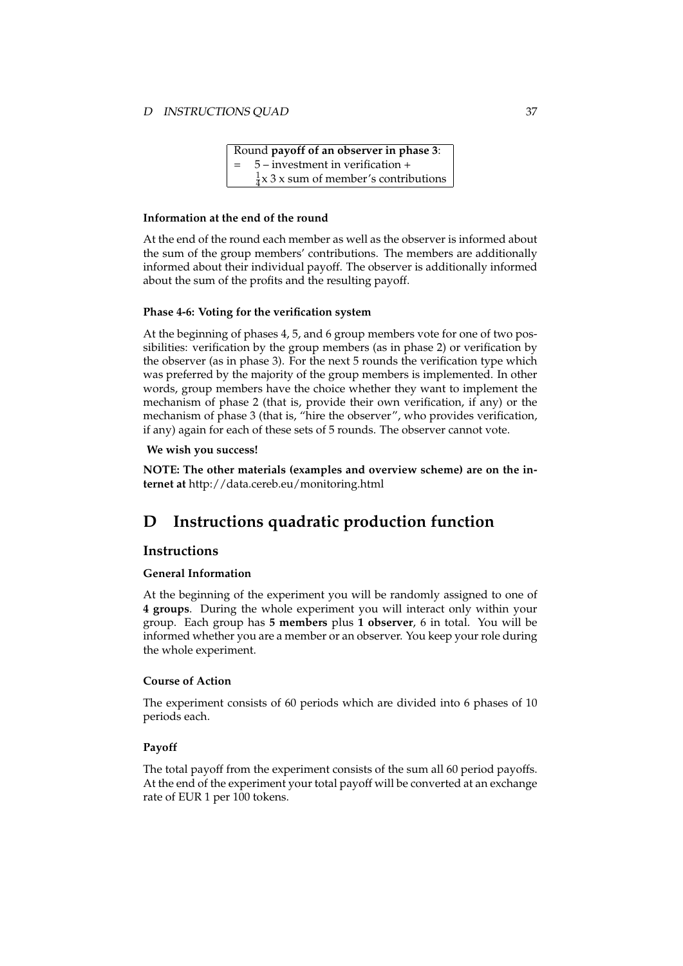| Round payoff of an observer in phase 3: |                                                   |  |  |  |  |  |  |
|-----------------------------------------|---------------------------------------------------|--|--|--|--|--|--|
| $=$                                     | $5$ – investment in verification +                |  |  |  |  |  |  |
|                                         | $\frac{1}{4}$ x 3 x sum of member's contributions |  |  |  |  |  |  |

## **Information at the end of the round**

At the end of the round each member as well as the observer is informed about the sum of the group members' contributions. The members are additionally informed about their individual payoff. The observer is additionally informed about the sum of the profits and the resulting payoff.

#### **Phase 4-6: Voting for the verification system**

At the beginning of phases 4, 5, and 6 group members vote for one of two possibilities: verification by the group members (as in phase 2) or verification by the observer (as in phase 3). For the next 5 rounds the verification type which was preferred by the majority of the group members is implemented. In other words, group members have the choice whether they want to implement the mechanism of phase 2 (that is, provide their own verification, if any) or the mechanism of phase 3 (that is, "hire the observer", who provides verification, if any) again for each of these sets of 5 rounds. The observer cannot vote.

### **We wish you success!**

**NOTE: The other materials (examples and overview scheme) are on the internet at** <http://data.cereb.eu/monitoring.html>

## **D Instructions quadratic production function**

## **Instructions**

## **General Information**

At the beginning of the experiment you will be randomly assigned to one of **4 groups**. During the whole experiment you will interact only within your group. Each group has **5 members** plus **1 observer**, 6 in total. You will be informed whether you are a member or an observer. You keep your role during the whole experiment.

### **Course of Action**

The experiment consists of 60 periods which are divided into 6 phases of 10 periods each.

## **Payoff**

The total payoff from the experiment consists of the sum all 60 period payoffs. At the end of the experiment your total payoff will be converted at an exchange rate of EUR 1 per 100 tokens.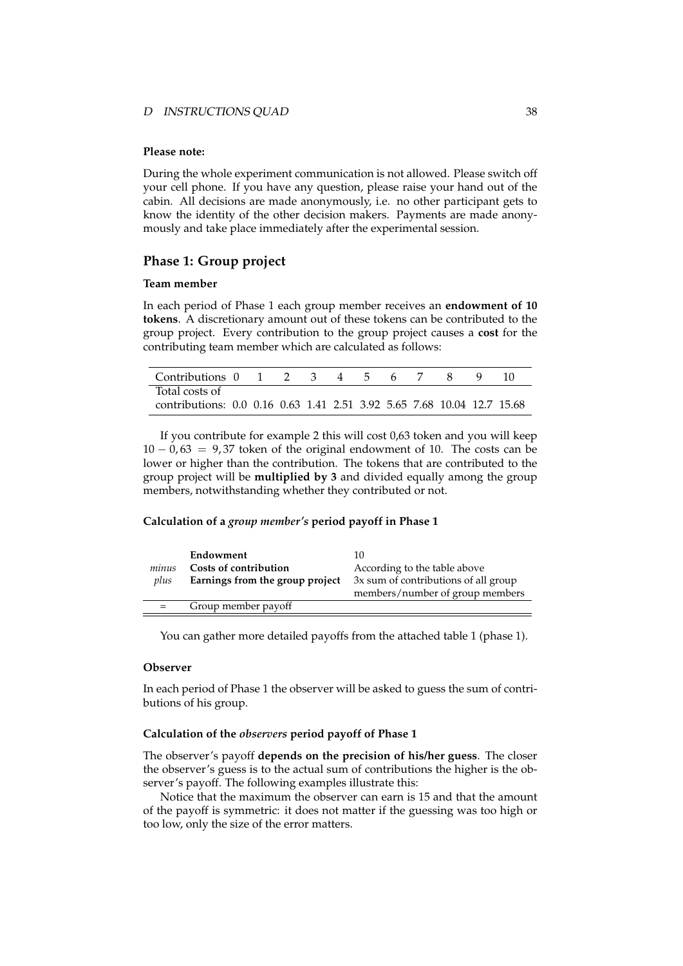#### D INSTRUCTIONS QUAD 38

#### **Please note:**

During the whole experiment communication is not allowed. Please switch off your cell phone. If you have any question, please raise your hand out of the cabin. All decisions are made anonymously, i.e. no other participant gets to know the identity of the other decision makers. Payments are made anonymously and take place immediately after the experimental session.

## **Phase 1: Group project**

## **Team member**

In each period of Phase 1 each group member receives an **endowment of 10 tokens**. A discretionary amount out of these tokens can be contributed to the group project. Every contribution to the group project causes a **cost** for the contributing team member which are calculated as follows:

| Contributions $0 \t1 \t2 \t3 \t4 \t5$                                  |  |  |  | 6 7 |  |  |
|------------------------------------------------------------------------|--|--|--|-----|--|--|
| Total costs of                                                         |  |  |  |     |  |  |
| contributions: 0.0 0.16 0.63 1.41 2.51 3.92 5.65 7.68 10.04 12.7 15.68 |  |  |  |     |  |  |

If you contribute for example 2 this will cost 0,63 token and you will keep  $10 - 0.63 = 9.37$  token of the original endowment of 10. The costs can be lower or higher than the contribution. The tokens that are contributed to the group project will be **multiplied by 3** and divided equally among the group members, notwithstanding whether they contributed or not.

## **Calculation of a** *group member's* **period payoff in Phase 1**

| minus<br>plus | Endowment<br>Costs of contribution<br>Earnings from the group project | 10<br>According to the table above<br>3x sum of contributions of all group<br>members/number of group members |
|---------------|-----------------------------------------------------------------------|---------------------------------------------------------------------------------------------------------------|
| $=$           | Group member payoff                                                   |                                                                                                               |

You can gather more detailed payoffs from the attached table 1 (phase 1).

### **Observer**

In each period of Phase 1 the observer will be asked to guess the sum of contributions of his group.

#### **Calculation of the** *observers* **period payoff of Phase 1**

The observer's payoff **depends on the precision of his/her guess**. The closer the observer's guess is to the actual sum of contributions the higher is the observer's payoff. The following examples illustrate this:

Notice that the maximum the observer can earn is 15 and that the amount of the payoff is symmetric: it does not matter if the guessing was too high or too low, only the size of the error matters.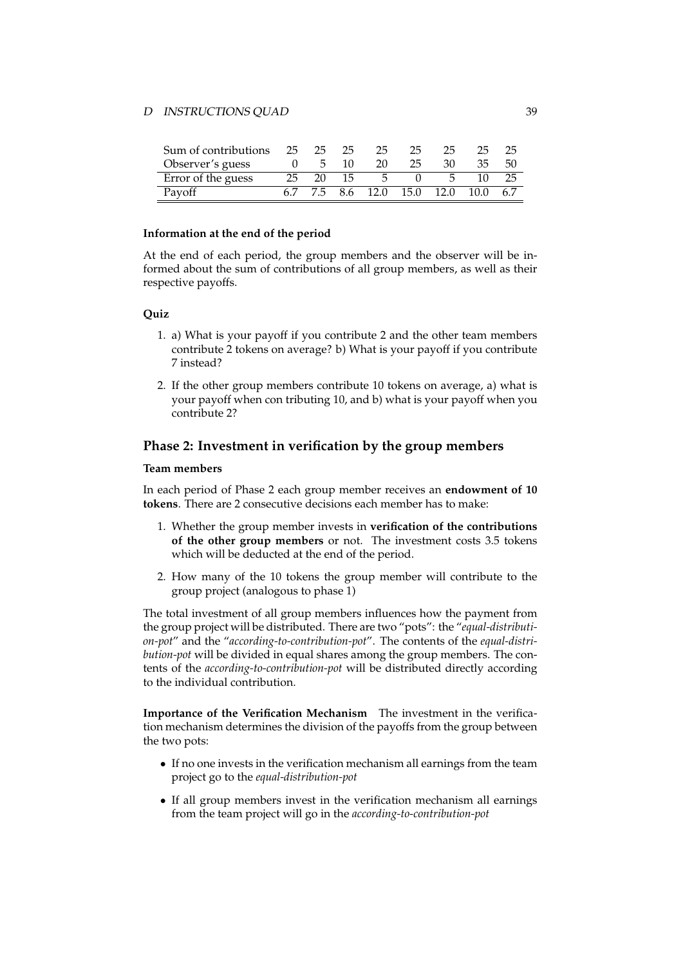| Sum of contributions | 25 | 25  | 25 | 25             | 25 | 25                                  | 25 | -25  |
|----------------------|----|-----|----|----------------|----|-------------------------------------|----|------|
| Observer's guess     |    | - 5 | 10 | 20             | 25 | -30                                 | 35 | - 50 |
| Error of the guess   | 25 | 20  | 15 | $\overline{5}$ |    | $-5$                                | 10 | -25  |
| Payoff               |    |     |    |                |    | 6.7 7.5 8.6 12.0 15.0 12.0 10.0 6.7 |    |      |

### **Information at the end of the period**

At the end of each period, the group members and the observer will be informed about the sum of contributions of all group members, as well as their respective payoffs.

#### **Quiz**

- 1. a) What is your payoff if you contribute 2 and the other team members contribute 2 tokens on average? b) What is your payoff if you contribute 7 instead?
- 2. If the other group members contribute 10 tokens on average, a) what is your payoff when con tributing 10, and b) what is your payoff when you contribute 2?

## **Phase 2: Investment in verification by the group members**

### **Team members**

In each period of Phase 2 each group member receives an **endowment of 10 tokens**. There are 2 consecutive decisions each member has to make:

- 1. Whether the group member invests in **verification of the contributions of the other group members** or not. The investment costs 3.5 tokens which will be deducted at the end of the period.
- 2. How many of the 10 tokens the group member will contribute to the group project (analogous to phase 1)

The total investment of all group members influences how the payment from the group project will be distributed. There are two "pots": the "*equal-distribution-pot*" and the "*according-to-contribution-pot*". The contents of the *equal-distribution-pot* will be divided in equal shares among the group members. The contents of the *according-to-contribution-pot* will be distributed directly according to the individual contribution.

**Importance of the Verification Mechanism** The investment in the verification mechanism determines the division of the payoffs from the group between the two pots:

- If no one invests in the verification mechanism all earnings from the team project go to the *equal-distribution-pot*
- If all group members invest in the verification mechanism all earnings from the team project will go in the *according-to-contribution-pot*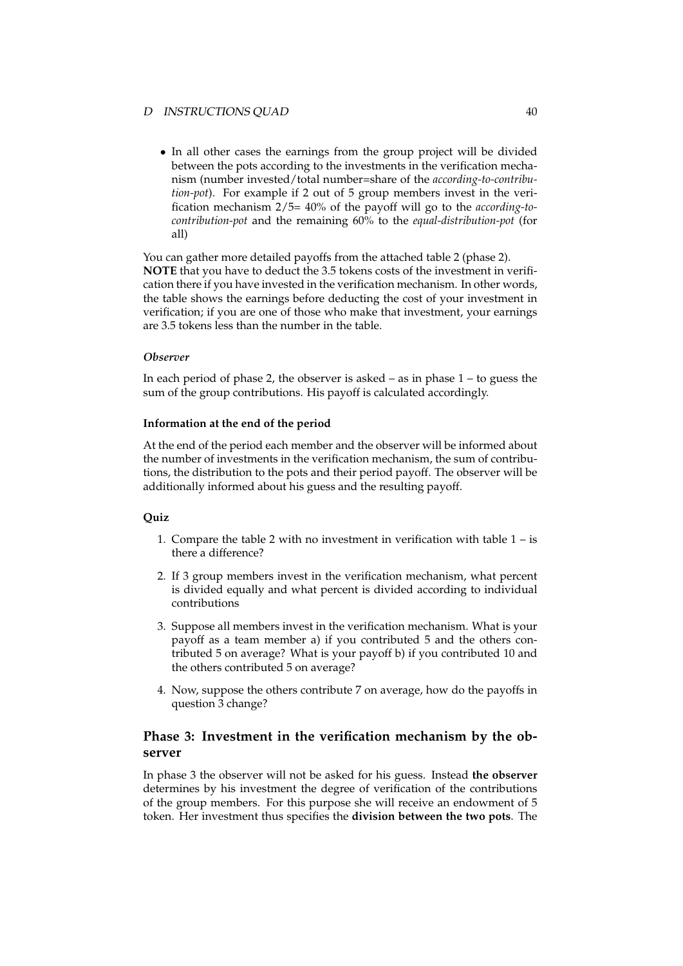## D INSTRUCTIONS QUAD 40

• In all other cases the earnings from the group project will be divided between the pots according to the investments in the verification mechanism (number invested/total number=share of the *according-to-contribution-pot*). For example if 2 out of 5 group members invest in the verification mechanism 2/5= 40% of the payoff will go to the *according-tocontribution-pot* and the remaining 60% to the *equal-distribution-pot* (for all)

You can gather more detailed payoffs from the attached table 2 (phase 2). **NOTE** that you have to deduct the 3.5 tokens costs of the investment in verification there if you have invested in the verification mechanism. In other words, the table shows the earnings before deducting the cost of your investment in verification; if you are one of those who make that investment, your earnings are 3.5 tokens less than the number in the table.

## *Observer*

In each period of phase 2, the observer is asked  $-$  as in phase  $1 -$  to guess the sum of the group contributions. His payoff is calculated accordingly.

### **Information at the end of the period**

At the end of the period each member and the observer will be informed about the number of investments in the verification mechanism, the sum of contributions, the distribution to the pots and their period payoff. The observer will be additionally informed about his guess and the resulting payoff.

## **Quiz**

- 1. Compare the table 2 with no investment in verification with table 1 is there a difference?
- 2. If 3 group members invest in the verification mechanism, what percent is divided equally and what percent is divided according to individual contributions
- 3. Suppose all members invest in the verification mechanism. What is your payoff as a team member a) if you contributed 5 and the others contributed 5 on average? What is your payoff b) if you contributed 10 and the others contributed 5 on average?
- 4. Now, suppose the others contribute 7 on average, how do the payoffs in question 3 change?

## **Phase 3: Investment in the verification mechanism by the observer**

In phase 3 the observer will not be asked for his guess. Instead **the observer** determines by his investment the degree of verification of the contributions of the group members. For this purpose she will receive an endowment of 5 token. Her investment thus specifies the **division between the two pots**. The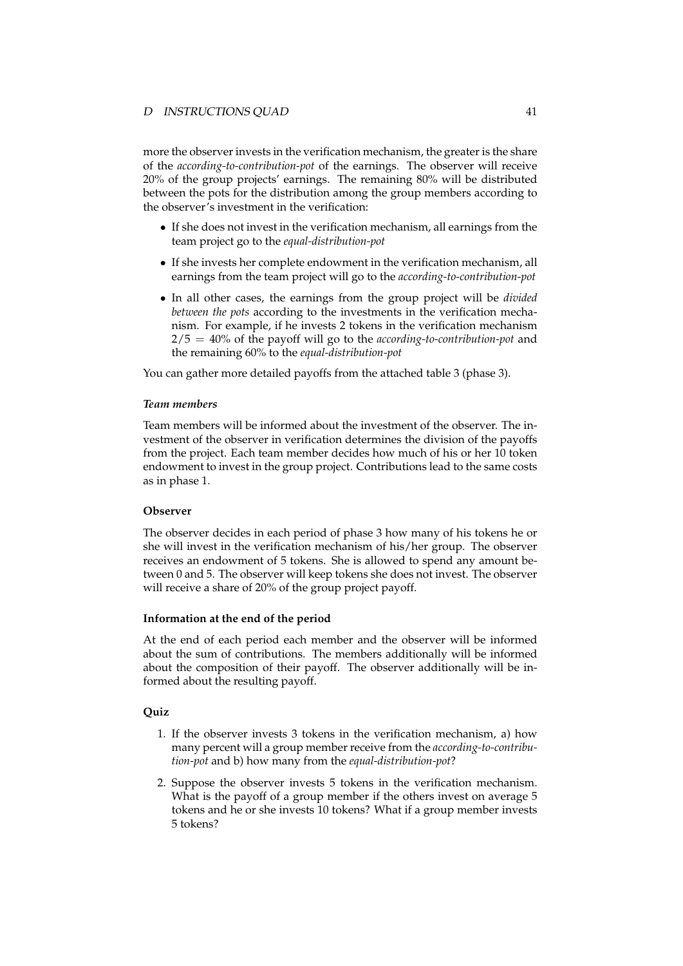more the observer invests in the verification mechanism, the greater is the share of the *according-to-contribution-pot* of the earnings. The observer will receive 20% of the group projects' earnings. The remaining 80% will be distributed between the pots for the distribution among the group members according to the observer's investment in the verification:

- If she does not invest in the verification mechanism, all earnings from the team project go to the *equal-distribution-pot*
- If she invests her complete endowment in the verification mechanism, all earnings from the team project will go to the *according-to-contribution-pot*
- In all other cases, the earnings from the group project will be *divided between the pots* according to the investments in the verification mechanism. For example, if he invests 2 tokens in the verification mechanism 2/5 = 40% of the payoff will go to the *according-to-contribution-pot* and the remaining 60% to the *equal-distribution-pot*

You can gather more detailed payoffs from the attached table 3 (phase 3).

#### *Team members*

Team members will be informed about the investment of the observer. The investment of the observer in verification determines the division of the payoffs from the project. Each team member decides how much of his or her 10 token endowment to invest in the group project. Contributions lead to the same costs as in phase 1.

## **Observer**

The observer decides in each period of phase 3 how many of his tokens he or she will invest in the verification mechanism of his/her group. The observer receives an endowment of 5 tokens. She is allowed to spend any amount between 0 and 5. The observer will keep tokens she does not invest. The observer will receive a share of 20% of the group project payoff.

### **Information at the end of the period**

At the end of each period each member and the observer will be informed about the sum of contributions. The members additionally will be informed about the composition of their payoff. The observer additionally will be informed about the resulting payoff.

## **Quiz**

- 1. If the observer invests 3 tokens in the verification mechanism, a) how many percent will a group member receive from the *according-to-contribution-pot* and b) how many from the *equal-distribution-pot*?
- 2. Suppose the observer invests 5 tokens in the verification mechanism. What is the payoff of a group member if the others invest on average 5 tokens and he or she invests 10 tokens? What if a group member invests 5 tokens?